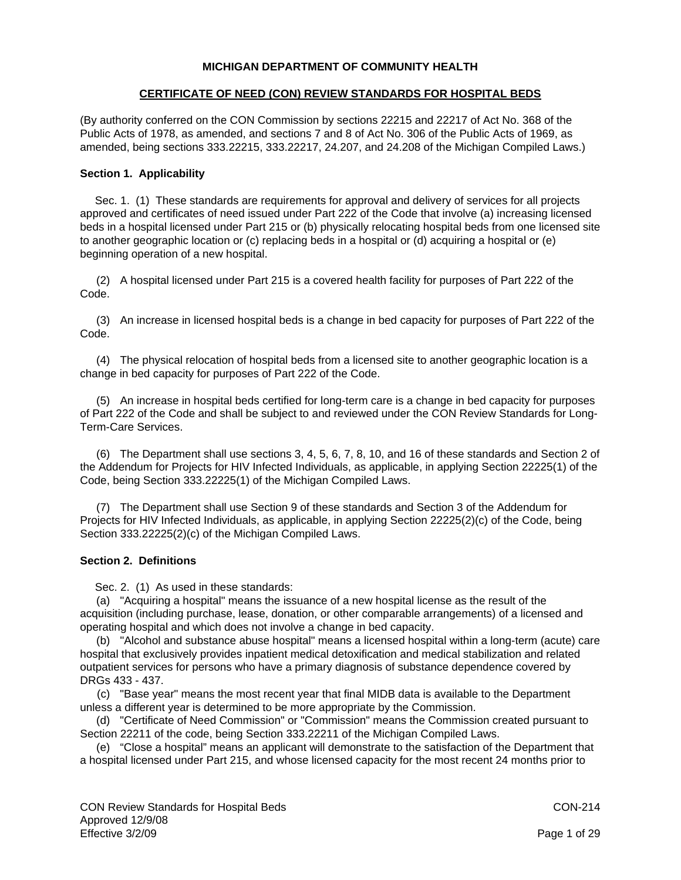# **MICHIGAN DEPARTMENT OF COMMUNITY HEALTH**

## **CERTIFICATE OF NEED (CON) REVIEW STANDARDS FOR HOSPITAL BEDS**

(By authority conferred on the CON Commission by sections 22215 and 22217 of Act No. 368 of the Public Acts of 1978, as amended, and sections 7 and 8 of Act No. 306 of the Public Acts of 1969, as amended, being sections 333.22215, 333.22217, 24.207, and 24.208 of the Michigan Compiled Laws.)

# **Section 1. Applicability**

 Sec. 1. (1) These standards are requirements for approval and delivery of services for all projects approved and certificates of need issued under Part 222 of the Code that involve (a) increasing licensed beds in a hospital licensed under Part 215 or (b) physically relocating hospital beds from one licensed site to another geographic location or (c) replacing beds in a hospital or (d) acquiring a hospital or (e) beginning operation of a new hospital.

 (2) A hospital licensed under Part 215 is a covered health facility for purposes of Part 222 of the Code.

 (3) An increase in licensed hospital beds is a change in bed capacity for purposes of Part 222 of the Code.

 (4) The physical relocation of hospital beds from a licensed site to another geographic location is a change in bed capacity for purposes of Part 222 of the Code.

 (5) An increase in hospital beds certified for long-term care is a change in bed capacity for purposes of Part 222 of the Code and shall be subject to and reviewed under the CON Review Standards for Long-Term-Care Services.

 (6) The Department shall use sections 3, 4, 5, 6, 7, 8, 10, and 16 of these standards and Section 2 of the Addendum for Projects for HIV Infected Individuals, as applicable, in applying Section 22225(1) of the Code, being Section 333.22225(1) of the Michigan Compiled Laws.

 (7) The Department shall use Section 9 of these standards and Section 3 of the Addendum for Projects for HIV Infected Individuals, as applicable, in applying Section 22225(2)(c) of the Code, being Section 333.22225(2)(c) of the Michigan Compiled Laws.

## **Section 2. Definitions**

Sec. 2. (1) As used in these standards:

 (a) "Acquiring a hospital" means the issuance of a new hospital license as the result of the acquisition (including purchase, lease, donation, or other comparable arrangements) of a licensed and operating hospital and which does not involve a change in bed capacity.

 (b) "Alcohol and substance abuse hospital" means a licensed hospital within a long-term (acute) care hospital that exclusively provides inpatient medical detoxification and medical stabilization and related outpatient services for persons who have a primary diagnosis of substance dependence covered by DRGs 433 - 437.

 (c) "Base year" means the most recent year that final MIDB data is available to the Department unless a different year is determined to be more appropriate by the Commission.

 (d) "Certificate of Need Commission" or "Commission" means the Commission created pursuant to Section 22211 of the code, being Section 333.22211 of the Michigan Compiled Laws.

 (e) "Close a hospital" means an applicant will demonstrate to the satisfaction of the Department that a hospital licensed under Part 215, and whose licensed capacity for the most recent 24 months prior to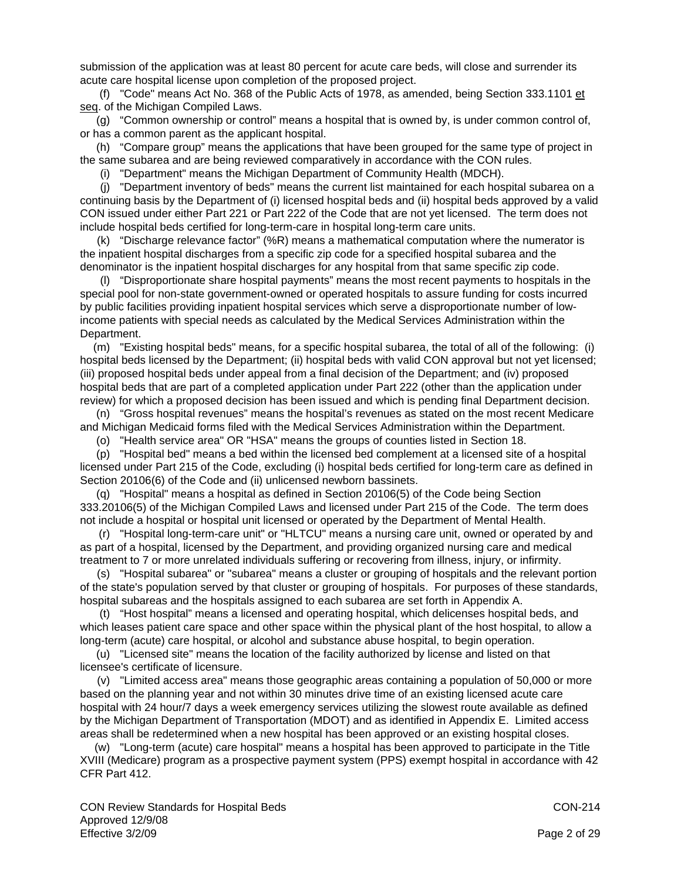submission of the application was at least 80 percent for acute care beds, will close and surrender its acute care hospital license upon completion of the proposed project.

 (f) "Code" means Act No. 368 of the Public Acts of 1978, as amended, being Section 333.1101 et seq. of the Michigan Compiled Laws.

 (g) "Common ownership or control" means a hospital that is owned by, is under common control of, or has a common parent as the applicant hospital.

 (h) "Compare group" means the applications that have been grouped for the same type of project in the same subarea and are being reviewed comparatively in accordance with the CON rules.

(i) "Department" means the Michigan Department of Community Health (MDCH).

 (j) "Department inventory of beds" means the current list maintained for each hospital subarea on a continuing basis by the Department of (i) licensed hospital beds and (ii) hospital beds approved by a valid CON issued under either Part 221 or Part 222 of the Code that are not yet licensed. The term does not include hospital beds certified for long-term-care in hospital long-term care units.

(k) "Discharge relevance factor" (%R) means a mathematical computation where the numerator is the inpatient hospital discharges from a specific zip code for a specified hospital subarea and the denominator is the inpatient hospital discharges for any hospital from that same specific zip code.

 (l) "Disproportionate share hospital payments" means the most recent payments to hospitals in the special pool for non-state government-owned or operated hospitals to assure funding for costs incurred by public facilities providing inpatient hospital services which serve a disproportionate number of lowincome patients with special needs as calculated by the Medical Services Administration within the Department.

 (m) "Existing hospital beds" means, for a specific hospital subarea, the total of all of the following: (i) hospital beds licensed by the Department; (ii) hospital beds with valid CON approval but not yet licensed; (iii) proposed hospital beds under appeal from a final decision of the Department; and (iv) proposed hospital beds that are part of a completed application under Part 222 (other than the application under review) for which a proposed decision has been issued and which is pending final Department decision.

 (n) "Gross hospital revenues" means the hospital's revenues as stated on the most recent Medicare and Michigan Medicaid forms filed with the Medical Services Administration within the Department.

(o) "Health service area" OR "HSA" means the groups of counties listed in Section 18.

 (p) "Hospital bed" means a bed within the licensed bed complement at a licensed site of a hospital licensed under Part 215 of the Code, excluding (i) hospital beds certified for long-term care as defined in Section 20106(6) of the Code and (ii) unlicensed newborn bassinets.

 (q) "Hospital" means a hospital as defined in Section 20106(5) of the Code being Section 333.20106(5) of the Michigan Compiled Laws and licensed under Part 215 of the Code. The term does not include a hospital or hospital unit licensed or operated by the Department of Mental Health.

 (r) "Hospital long-term-care unit" or "HLTCU" means a nursing care unit, owned or operated by and as part of a hospital, licensed by the Department, and providing organized nursing care and medical treatment to 7 or more unrelated individuals suffering or recovering from illness, injury, or infirmity.

 (s) "Hospital subarea" or "subarea" means a cluster or grouping of hospitals and the relevant portion of the state's population served by that cluster or grouping of hospitals. For purposes of these standards, hospital subareas and the hospitals assigned to each subarea are set forth in Appendix A.

 (t) "Host hospital" means a licensed and operating hospital, which delicenses hospital beds, and which leases patient care space and other space within the physical plant of the host hospital, to allow a long-term (acute) care hospital, or alcohol and substance abuse hospital, to begin operation.

 (u) "Licensed site" means the location of the facility authorized by license and listed on that licensee's certificate of licensure.

 (v) "Limited access area" means those geographic areas containing a population of 50,000 or more based on the planning year and not within 30 minutes drive time of an existing licensed acute care hospital with 24 hour/7 days a week emergency services utilizing the slowest route available as defined by the Michigan Department of Transportation (MDOT) and as identified in Appendix E. Limited access areas shall be redetermined when a new hospital has been approved or an existing hospital closes.

 (w) "Long-term (acute) care hospital" means a hospital has been approved to participate in the Title XVIII (Medicare) program as a prospective payment system (PPS) exempt hospital in accordance with 42 CFR Part 412.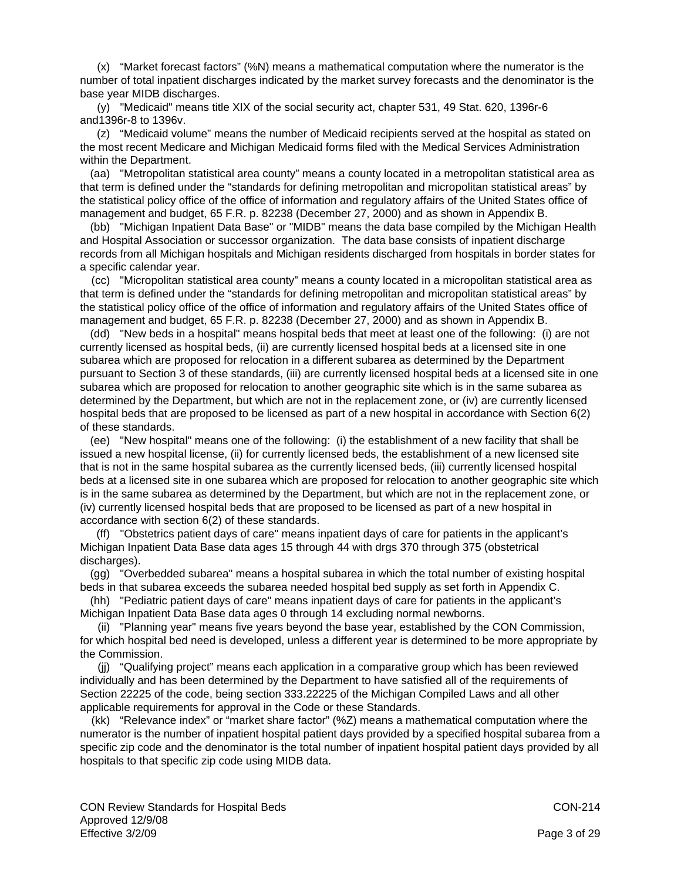(x) "Market forecast factors" (%N) means a mathematical computation where the numerator is the number of total inpatient discharges indicated by the market survey forecasts and the denominator is the base year MIDB discharges.

 (y) "Medicaid" means title XIX of the social security act, chapter 531, 49 Stat. 620, 1396r-6 and1396r-8 to 1396v.

 (z) "Medicaid volume" means the number of Medicaid recipients served at the hospital as stated on the most recent Medicare and Michigan Medicaid forms filed with the Medical Services Administration within the Department.

 (aa) "Metropolitan statistical area county" means a county located in a metropolitan statistical area as that term is defined under the "standards for defining metropolitan and micropolitan statistical areas" by the statistical policy office of the office of information and regulatory affairs of the United States office of management and budget, 65 F.R. p. 82238 (December 27, 2000) and as shown in Appendix B.

 (bb) "Michigan Inpatient Data Base" or "MIDB" means the data base compiled by the Michigan Health and Hospital Association or successor organization. The data base consists of inpatient discharge records from all Michigan hospitals and Michigan residents discharged from hospitals in border states for a specific calendar year.

 (cc) "Micropolitan statistical area county" means a county located in a micropolitan statistical area as that term is defined under the "standards for defining metropolitan and micropolitan statistical areas" by the statistical policy office of the office of information and regulatory affairs of the United States office of management and budget, 65 F.R. p. 82238 (December 27, 2000) and as shown in Appendix B.

 (dd) "New beds in a hospital" means hospital beds that meet at least one of the following: (i) are not currently licensed as hospital beds, (ii) are currently licensed hospital beds at a licensed site in one subarea which are proposed for relocation in a different subarea as determined by the Department pursuant to Section 3 of these standards, (iii) are currently licensed hospital beds at a licensed site in one subarea which are proposed for relocation to another geographic site which is in the same subarea as determined by the Department, but which are not in the replacement zone, or (iv) are currently licensed hospital beds that are proposed to be licensed as part of a new hospital in accordance with Section 6(2) of these standards.

 (ee) "New hospital" means one of the following: (i) the establishment of a new facility that shall be issued a new hospital license, (ii) for currently licensed beds, the establishment of a new licensed site that is not in the same hospital subarea as the currently licensed beds, (iii) currently licensed hospital beds at a licensed site in one subarea which are proposed for relocation to another geographic site which is in the same subarea as determined by the Department, but which are not in the replacement zone, or (iv) currently licensed hospital beds that are proposed to be licensed as part of a new hospital in accordance with section 6(2) of these standards.

 (ff) "Obstetrics patient days of care" means inpatient days of care for patients in the applicant's Michigan Inpatient Data Base data ages 15 through 44 with drgs 370 through 375 (obstetrical discharges).

 (gg) "Overbedded subarea" means a hospital subarea in which the total number of existing hospital beds in that subarea exceeds the subarea needed hospital bed supply as set forth in Appendix C.

 (hh) "Pediatric patient days of care" means inpatient days of care for patients in the applicant's Michigan Inpatient Data Base data ages 0 through 14 excluding normal newborns.

 (ii) "Planning year" means five years beyond the base year, established by the CON Commission, for which hospital bed need is developed, unless a different year is determined to be more appropriate by the Commission.

 (jj) "Qualifying project" means each application in a comparative group which has been reviewed individually and has been determined by the Department to have satisfied all of the requirements of Section 22225 of the code, being section 333.22225 of the Michigan Compiled Laws and all other applicable requirements for approval in the Code or these Standards.

 (kk) "Relevance index" or "market share factor" (%Z) means a mathematical computation where the numerator is the number of inpatient hospital patient days provided by a specified hospital subarea from a specific zip code and the denominator is the total number of inpatient hospital patient days provided by all hospitals to that specific zip code using MIDB data.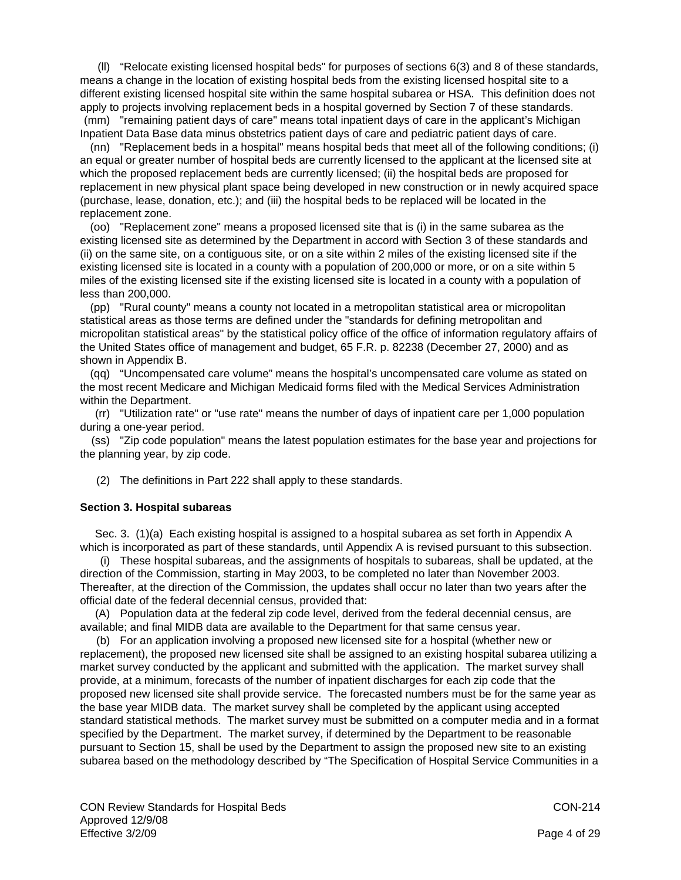(ll) "Relocate existing licensed hospital beds" for purposes of sections 6(3) and 8 of these standards, means a change in the location of existing hospital beds from the existing licensed hospital site to a different existing licensed hospital site within the same hospital subarea or HSA. This definition does not apply to projects involving replacement beds in a hospital governed by Section 7 of these standards. (mm) "remaining patient days of care" means total inpatient days of care in the applicant's Michigan

Inpatient Data Base data minus obstetrics patient days of care and pediatric patient days of care. (nn) "Replacement beds in a hospital" means hospital beds that meet all of the following conditions; (i) an equal or greater number of hospital beds are currently licensed to the applicant at the licensed site at which the proposed replacement beds are currently licensed; (ii) the hospital beds are proposed for replacement in new physical plant space being developed in new construction or in newly acquired space (purchase, lease, donation, etc.); and (iii) the hospital beds to be replaced will be located in the replacement zone.

 (oo) "Replacement zone" means a proposed licensed site that is (i) in the same subarea as the existing licensed site as determined by the Department in accord with Section 3 of these standards and (ii) on the same site, on a contiguous site, or on a site within 2 miles of the existing licensed site if the existing licensed site is located in a county with a population of 200,000 or more, or on a site within 5 miles of the existing licensed site if the existing licensed site is located in a county with a population of less than 200,000.

 (pp) "Rural county" means a county not located in a metropolitan statistical area or micropolitan statistical areas as those terms are defined under the "standards for defining metropolitan and micropolitan statistical areas" by the statistical policy office of the office of information regulatory affairs of the United States office of management and budget, 65 F.R. p. 82238 (December 27, 2000) and as shown in Appendix B.

 (qq) "Uncompensated care volume" means the hospital's uncompensated care volume as stated on the most recent Medicare and Michigan Medicaid forms filed with the Medical Services Administration within the Department.

 (rr) "Utilization rate" or "use rate" means the number of days of inpatient care per 1,000 population during a one-year period.

 (ss) "Zip code population" means the latest population estimates for the base year and projections for the planning year, by zip code.

(2) The definitions in Part 222 shall apply to these standards.

## **Section 3. Hospital subareas**

 Sec. 3. (1)(a) Each existing hospital is assigned to a hospital subarea as set forth in Appendix A which is incorporated as part of these standards, until Appendix A is revised pursuant to this subsection.

 (i) These hospital subareas, and the assignments of hospitals to subareas, shall be updated, at the direction of the Commission, starting in May 2003, to be completed no later than November 2003. Thereafter, at the direction of the Commission, the updates shall occur no later than two years after the official date of the federal decennial census, provided that:

 (A) Population data at the federal zip code level, derived from the federal decennial census, are available; and final MIDB data are available to the Department for that same census year.

 (b) For an application involving a proposed new licensed site for a hospital (whether new or replacement), the proposed new licensed site shall be assigned to an existing hospital subarea utilizing a market survey conducted by the applicant and submitted with the application. The market survey shall provide, at a minimum, forecasts of the number of inpatient discharges for each zip code that the proposed new licensed site shall provide service. The forecasted numbers must be for the same year as the base year MIDB data. The market survey shall be completed by the applicant using accepted standard statistical methods. The market survey must be submitted on a computer media and in a format specified by the Department. The market survey, if determined by the Department to be reasonable pursuant to Section 15, shall be used by the Department to assign the proposed new site to an existing subarea based on the methodology described by "The Specification of Hospital Service Communities in a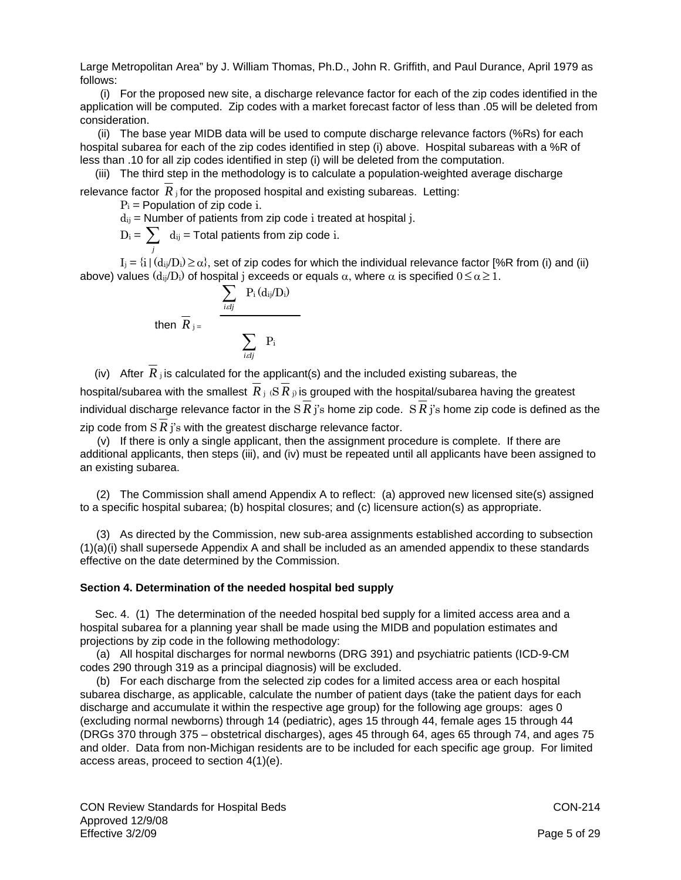Large Metropolitan Area" by J. William Thomas, Ph.D., John R. Griffith, and Paul Durance, April 1979 as follows:

 (i) For the proposed new site, a discharge relevance factor for each of the zip codes identified in the application will be computed. Zip codes with a market forecast factor of less than .05 will be deleted from consideration.

 (ii) The base year MIDB data will be used to compute discharge relevance factors (%Rs) for each hospital subarea for each of the zip codes identified in step (i) above. Hospital subareas with a %R of less than .10 for all zip codes identified in step (i) will be deleted from the computation.

(iii) The third step in the methodology is to calculate a population-weighted average discharge

relevance factor  $R_i$  for the proposed hospital and existing subareas. Letting:

 $P_i$  = Population of zip code i.

 $d_{ij}$  = Number of patients from zip code i treated at hospital j.

$$
D_i = \sum_j d_{ij} = \text{Total patients from zip code } i.
$$

 $I_j = \{i \mid (d_{ij}/D_i) \ge \alpha\}$ , set of zip codes for which the individual relevance factor [%R from (i) and (ii) above) values  $(d_{ii}/D_i)$  of hospital j exceeds or equals  $\alpha$ , where  $\alpha$  is specified  $0 \leq \alpha \geq 1$ .

$$
\text{then } \overline{R}_{j} = \frac{\sum_{i \in Ij} P_i(d_{ij}/D_i)}{\sum_{i \in Ij} P_i}
$$

(iv) After  $R_i$  is calculated for the applicant(s) and the included existing subareas, the hospital/subarea with the smallest  $\overline{R}_i$  ( $\overline{S}$   $\overline{R}_i$ ) is grouped with the hospital/subarea having the greatest individual discharge relevance factor in the S  $R$  j's home zip code. S  $R$  j's home zip code is defined as the zip code from  $S R j$ 's with the greatest discharge relevance factor.

 (v) If there is only a single applicant, then the assignment procedure is complete. If there are additional applicants, then steps (iii), and (iv) must be repeated until all applicants have been assigned to an existing subarea.

 (2) The Commission shall amend Appendix A to reflect: (a) approved new licensed site(s) assigned to a specific hospital subarea; (b) hospital closures; and (c) licensure action(s) as appropriate.

 (3) As directed by the Commission, new sub-area assignments established according to subsection (1)(a)(i) shall supersede Appendix A and shall be included as an amended appendix to these standards effective on the date determined by the Commission.

## **Section 4. Determination of the needed hospital bed supply**

 Sec. 4. (1) The determination of the needed hospital bed supply for a limited access area and a hospital subarea for a planning year shall be made using the MIDB and population estimates and projections by zip code in the following methodology:

 (a) All hospital discharges for normal newborns (DRG 391) and psychiatric patients (ICD-9-CM codes 290 through 319 as a principal diagnosis) will be excluded.

 (b) For each discharge from the selected zip codes for a limited access area or each hospital subarea discharge, as applicable, calculate the number of patient days (take the patient days for each discharge and accumulate it within the respective age group) for the following age groups: ages 0 (excluding normal newborns) through 14 (pediatric), ages 15 through 44, female ages 15 through 44 (DRGs 370 through 375 – obstetrical discharges), ages 45 through 64, ages 65 through 74, and ages 75 and older. Data from non-Michigan residents are to be included for each specific age group. For limited access areas, proceed to section 4(1)(e).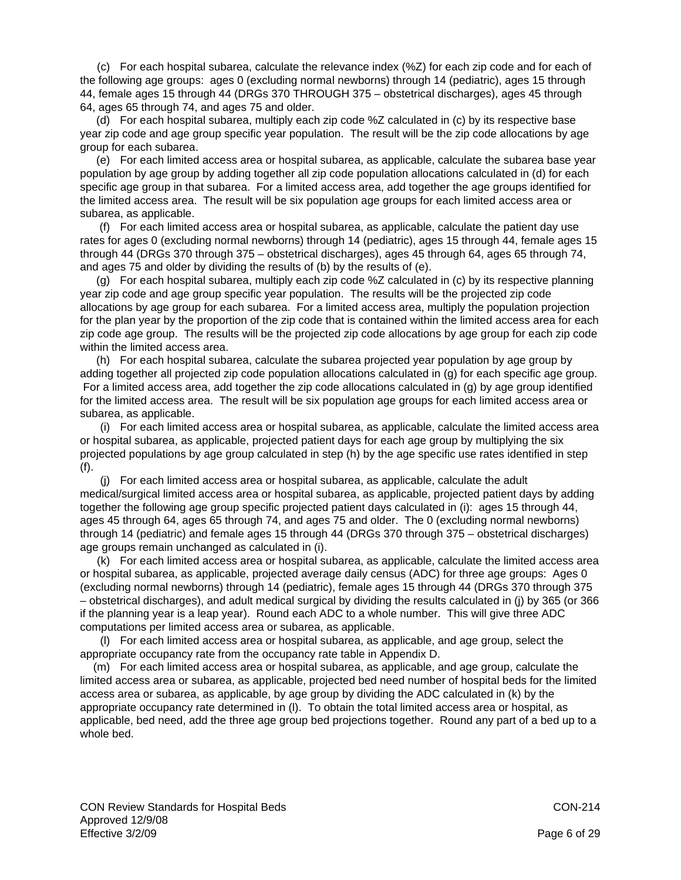(c) For each hospital subarea, calculate the relevance index (%Z) for each zip code and for each of the following age groups: ages 0 (excluding normal newborns) through 14 (pediatric), ages 15 through 44, female ages 15 through 44 (DRGs 370 THROUGH 375 – obstetrical discharges), ages 45 through 64, ages 65 through 74, and ages 75 and older.

 (d) For each hospital subarea, multiply each zip code %Z calculated in (c) by its respective base year zip code and age group specific year population. The result will be the zip code allocations by age group for each subarea.

 (e) For each limited access area or hospital subarea, as applicable, calculate the subarea base year population by age group by adding together all zip code population allocations calculated in (d) for each specific age group in that subarea. For a limited access area, add together the age groups identified for the limited access area. The result will be six population age groups for each limited access area or subarea, as applicable.

 (f) For each limited access area or hospital subarea, as applicable, calculate the patient day use rates for ages 0 (excluding normal newborns) through 14 (pediatric), ages 15 through 44, female ages 15 through 44 (DRGs 370 through 375 – obstetrical discharges), ages 45 through 64, ages 65 through 74, and ages 75 and older by dividing the results of (b) by the results of (e).

 (g) For each hospital subarea, multiply each zip code %Z calculated in (c) by its respective planning year zip code and age group specific year population. The results will be the projected zip code allocations by age group for each subarea. For a limited access area, multiply the population projection for the plan year by the proportion of the zip code that is contained within the limited access area for each zip code age group. The results will be the projected zip code allocations by age group for each zip code within the limited access area.

 (h) For each hospital subarea, calculate the subarea projected year population by age group by adding together all projected zip code population allocations calculated in (g) for each specific age group. For a limited access area, add together the zip code allocations calculated in (g) by age group identified for the limited access area. The result will be six population age groups for each limited access area or subarea, as applicable.

 (i) For each limited access area or hospital subarea, as applicable, calculate the limited access area or hospital subarea, as applicable, projected patient days for each age group by multiplying the six projected populations by age group calculated in step (h) by the age specific use rates identified in step (f).

 (j) For each limited access area or hospital subarea, as applicable, calculate the adult medical/surgical limited access area or hospital subarea, as applicable, projected patient days by adding together the following age group specific projected patient days calculated in (i): ages 15 through 44, ages 45 through 64, ages 65 through 74, and ages 75 and older. The 0 (excluding normal newborns) through 14 (pediatric) and female ages 15 through 44 (DRGs 370 through 375 – obstetrical discharges) age groups remain unchanged as calculated in (i).

 (k) For each limited access area or hospital subarea, as applicable, calculate the limited access area or hospital subarea, as applicable, projected average daily census (ADC) for three age groups: Ages 0 (excluding normal newborns) through 14 (pediatric), female ages 15 through 44 (DRGs 370 through 375 – obstetrical discharges), and adult medical surgical by dividing the results calculated in (j) by 365 (or 366 if the planning year is a leap year). Round each ADC to a whole number. This will give three ADC computations per limited access area or subarea, as applicable.

 (l) For each limited access area or hospital subarea, as applicable, and age group, select the appropriate occupancy rate from the occupancy rate table in Appendix D.

 (m) For each limited access area or hospital subarea, as applicable, and age group, calculate the limited access area or subarea, as applicable, projected bed need number of hospital beds for the limited access area or subarea, as applicable, by age group by dividing the ADC calculated in (k) by the appropriate occupancy rate determined in (l). To obtain the total limited access area or hospital, as applicable, bed need, add the three age group bed projections together. Round any part of a bed up to a whole bed.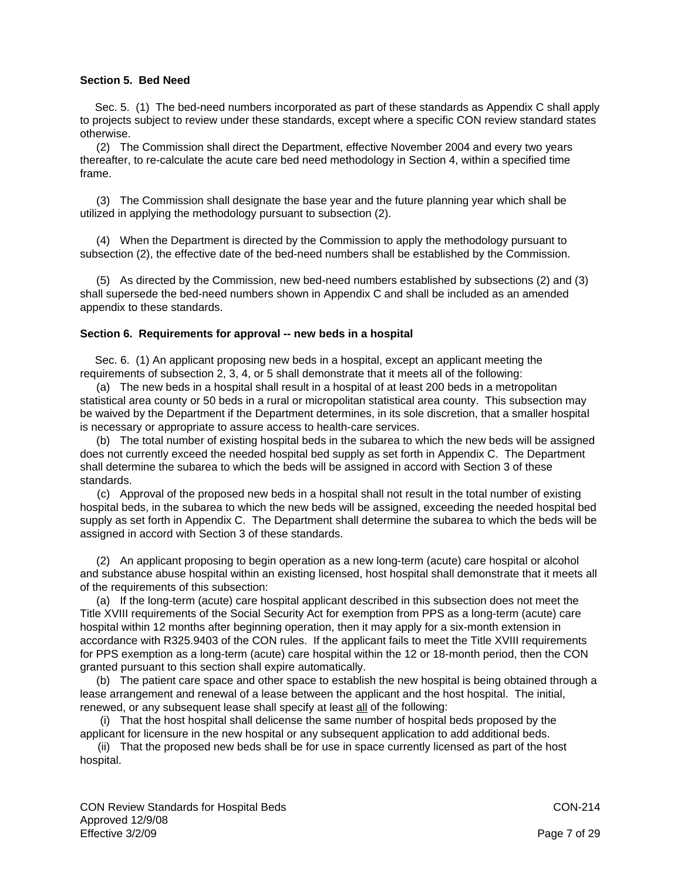# **Section 5. Bed Need**

 Sec. 5. (1) The bed-need numbers incorporated as part of these standards as Appendix C shall apply to projects subject to review under these standards, except where a specific CON review standard states otherwise.

 (2) The Commission shall direct the Department, effective November 2004 and every two years thereafter, to re-calculate the acute care bed need methodology in Section 4, within a specified time frame.

 (3) The Commission shall designate the base year and the future planning year which shall be utilized in applying the methodology pursuant to subsection (2).

 (4) When the Department is directed by the Commission to apply the methodology pursuant to subsection (2), the effective date of the bed-need numbers shall be established by the Commission.

 (5) As directed by the Commission, new bed-need numbers established by subsections (2) and (3) shall supersede the bed-need numbers shown in Appendix C and shall be included as an amended appendix to these standards.

## **Section 6. Requirements for approval -- new beds in a hospital**

 Sec. 6. (1) An applicant proposing new beds in a hospital, except an applicant meeting the requirements of subsection 2, 3, 4, or 5 shall demonstrate that it meets all of the following:

 (a) The new beds in a hospital shall result in a hospital of at least 200 beds in a metropolitan statistical area county or 50 beds in a rural or micropolitan statistical area county. This subsection may be waived by the Department if the Department determines, in its sole discretion, that a smaller hospital is necessary or appropriate to assure access to health-care services.

 (b) The total number of existing hospital beds in the subarea to which the new beds will be assigned does not currently exceed the needed hospital bed supply as set forth in Appendix C. The Department shall determine the subarea to which the beds will be assigned in accord with Section 3 of these standards.

 (c) Approval of the proposed new beds in a hospital shall not result in the total number of existing hospital beds, in the subarea to which the new beds will be assigned, exceeding the needed hospital bed supply as set forth in Appendix C. The Department shall determine the subarea to which the beds will be assigned in accord with Section 3 of these standards.

 (2) An applicant proposing to begin operation as a new long-term (acute) care hospital or alcohol and substance abuse hospital within an existing licensed, host hospital shall demonstrate that it meets all of the requirements of this subsection:

 (a) If the long-term (acute) care hospital applicant described in this subsection does not meet the Title XVIII requirements of the Social Security Act for exemption from PPS as a long-term (acute) care hospital within 12 months after beginning operation, then it may apply for a six-month extension in accordance with R325.9403 of the CON rules. If the applicant fails to meet the Title XVIII requirements for PPS exemption as a long-term (acute) care hospital within the 12 or 18-month period, then the CON granted pursuant to this section shall expire automatically.

 (b) The patient care space and other space to establish the new hospital is being obtained through a lease arrangement and renewal of a lease between the applicant and the host hospital. The initial, renewed, or any subsequent lease shall specify at least all of the following:

 (i) That the host hospital shall delicense the same number of hospital beds proposed by the applicant for licensure in the new hospital or any subsequent application to add additional beds.

 (ii) That the proposed new beds shall be for use in space currently licensed as part of the host hospital.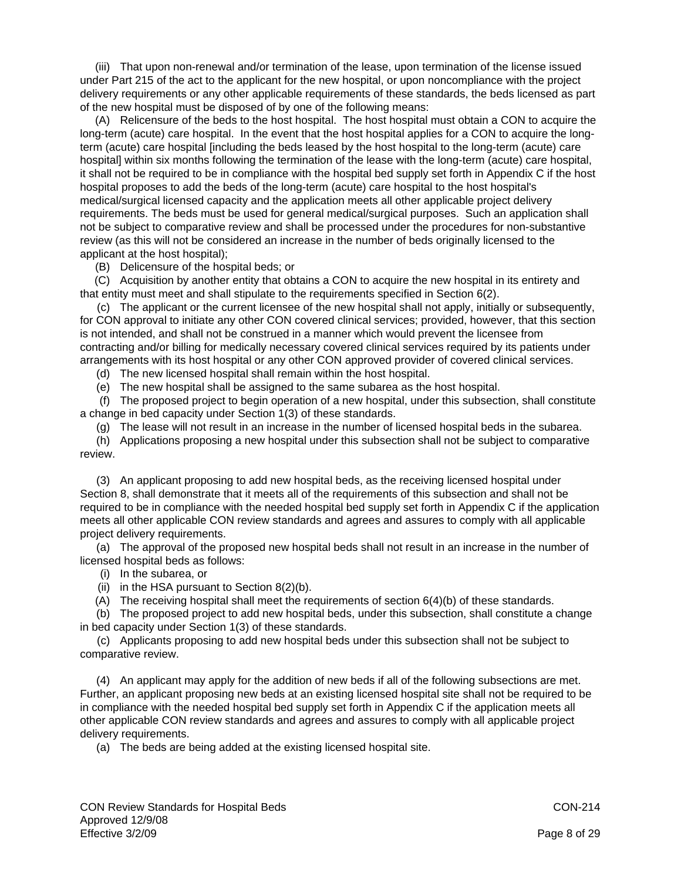(iii) That upon non-renewal and/or termination of the lease, upon termination of the license issued under Part 215 of the act to the applicant for the new hospital, or upon noncompliance with the project delivery requirements or any other applicable requirements of these standards, the beds licensed as part of the new hospital must be disposed of by one of the following means:

 (A) Relicensure of the beds to the host hospital. The host hospital must obtain a CON to acquire the long-term (acute) care hospital. In the event that the host hospital applies for a CON to acquire the longterm (acute) care hospital [including the beds leased by the host hospital to the long-term (acute) care hospital] within six months following the termination of the lease with the long-term (acute) care hospital, it shall not be required to be in compliance with the hospital bed supply set forth in Appendix C if the host hospital proposes to add the beds of the long-term (acute) care hospital to the host hospital's medical/surgical licensed capacity and the application meets all other applicable project delivery requirements. The beds must be used for general medical/surgical purposes. Such an application shall not be subject to comparative review and shall be processed under the procedures for non-substantive review (as this will not be considered an increase in the number of beds originally licensed to the applicant at the host hospital);

(B) Delicensure of the hospital beds; or

 (C) Acquisition by another entity that obtains a CON to acquire the new hospital in its entirety and that entity must meet and shall stipulate to the requirements specified in Section 6(2).

 (c) The applicant or the current licensee of the new hospital shall not apply, initially or subsequently, for CON approval to initiate any other CON covered clinical services; provided, however, that this section is not intended, and shall not be construed in a manner which would prevent the licensee from contracting and/or billing for medically necessary covered clinical services required by its patients under arrangements with its host hospital or any other CON approved provider of covered clinical services.

(d) The new licensed hospital shall remain within the host hospital.

(e) The new hospital shall be assigned to the same subarea as the host hospital.

 (f) The proposed project to begin operation of a new hospital, under this subsection, shall constitute a change in bed capacity under Section 1(3) of these standards.

(g) The lease will not result in an increase in the number of licensed hospital beds in the subarea.

 (h) Applications proposing a new hospital under this subsection shall not be subject to comparative review.

 (3) An applicant proposing to add new hospital beds, as the receiving licensed hospital under Section 8, shall demonstrate that it meets all of the requirements of this subsection and shall not be required to be in compliance with the needed hospital bed supply set forth in Appendix C if the application meets all other applicable CON review standards and agrees and assures to comply with all applicable project delivery requirements.

 (a) The approval of the proposed new hospital beds shall not result in an increase in the number of licensed hospital beds as follows:

- (i) In the subarea, or
- (ii) in the HSA pursuant to Section  $8(2)(b)$ .

(A) The receiving hospital shall meet the requirements of section 6(4)(b) of these standards.

 (b) The proposed project to add new hospital beds, under this subsection, shall constitute a change in bed capacity under Section 1(3) of these standards.

 (c) Applicants proposing to add new hospital beds under this subsection shall not be subject to comparative review.

 (4) An applicant may apply for the addition of new beds if all of the following subsections are met. Further, an applicant proposing new beds at an existing licensed hospital site shall not be required to be in compliance with the needed hospital bed supply set forth in Appendix C if the application meets all other applicable CON review standards and agrees and assures to comply with all applicable project delivery requirements.

(a) The beds are being added at the existing licensed hospital site.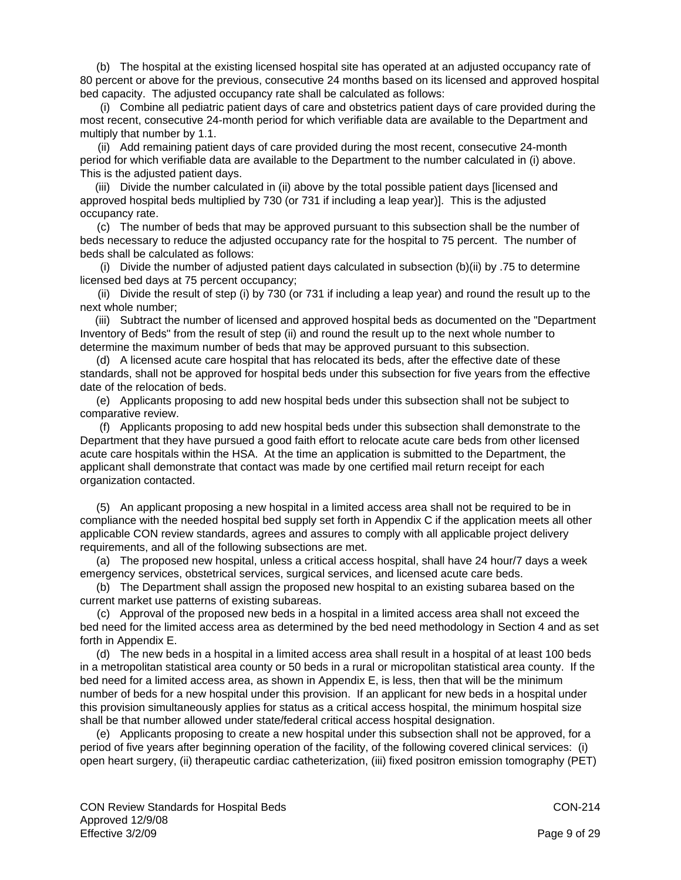(b) The hospital at the existing licensed hospital site has operated at an adjusted occupancy rate of 80 percent or above for the previous, consecutive 24 months based on its licensed and approved hospital bed capacity. The adjusted occupancy rate shall be calculated as follows:

 (i) Combine all pediatric patient days of care and obstetrics patient days of care provided during the most recent, consecutive 24-month period for which verifiable data are available to the Department and multiply that number by 1.1.

 (ii) Add remaining patient days of care provided during the most recent, consecutive 24-month period for which verifiable data are available to the Department to the number calculated in (i) above. This is the adjusted patient days.

 (iii) Divide the number calculated in (ii) above by the total possible patient days [licensed and approved hospital beds multiplied by 730 (or 731 if including a leap year)]. This is the adjusted occupancy rate.

 (c) The number of beds that may be approved pursuant to this subsection shall be the number of beds necessary to reduce the adjusted occupancy rate for the hospital to 75 percent. The number of beds shall be calculated as follows:

 (i) Divide the number of adjusted patient days calculated in subsection (b)(ii) by .75 to determine licensed bed days at 75 percent occupancy;

 (ii) Divide the result of step (i) by 730 (or 731 if including a leap year) and round the result up to the next whole number;

 (iii) Subtract the number of licensed and approved hospital beds as documented on the "Department Inventory of Beds" from the result of step (ii) and round the result up to the next whole number to determine the maximum number of beds that may be approved pursuant to this subsection.

(d) A licensed acute care hospital that has relocated its beds, after the effective date of these standards, shall not be approved for hospital beds under this subsection for five years from the effective date of the relocation of beds.

 (e) Applicants proposing to add new hospital beds under this subsection shall not be subject to comparative review.

 (f) Applicants proposing to add new hospital beds under this subsection shall demonstrate to the Department that they have pursued a good faith effort to relocate acute care beds from other licensed acute care hospitals within the HSA. At the time an application is submitted to the Department, the applicant shall demonstrate that contact was made by one certified mail return receipt for each organization contacted.

 (5) An applicant proposing a new hospital in a limited access area shall not be required to be in compliance with the needed hospital bed supply set forth in Appendix C if the application meets all other applicable CON review standards, agrees and assures to comply with all applicable project delivery requirements, and all of the following subsections are met.

 (a) The proposed new hospital, unless a critical access hospital, shall have 24 hour/7 days a week emergency services, obstetrical services, surgical services, and licensed acute care beds.

 (b) The Department shall assign the proposed new hospital to an existing subarea based on the current market use patterns of existing subareas.

 (c) Approval of the proposed new beds in a hospital in a limited access area shall not exceed the bed need for the limited access area as determined by the bed need methodology in Section 4 and as set forth in Appendix E.

 (d) The new beds in a hospital in a limited access area shall result in a hospital of at least 100 beds in a metropolitan statistical area county or 50 beds in a rural or micropolitan statistical area county. If the bed need for a limited access area, as shown in Appendix E, is less, then that will be the minimum number of beds for a new hospital under this provision. If an applicant for new beds in a hospital under this provision simultaneously applies for status as a critical access hospital, the minimum hospital size shall be that number allowed under state/federal critical access hospital designation.

 (e) Applicants proposing to create a new hospital under this subsection shall not be approved, for a period of five years after beginning operation of the facility, of the following covered clinical services: (i) open heart surgery, (ii) therapeutic cardiac catheterization, (iii) fixed positron emission tomography (PET)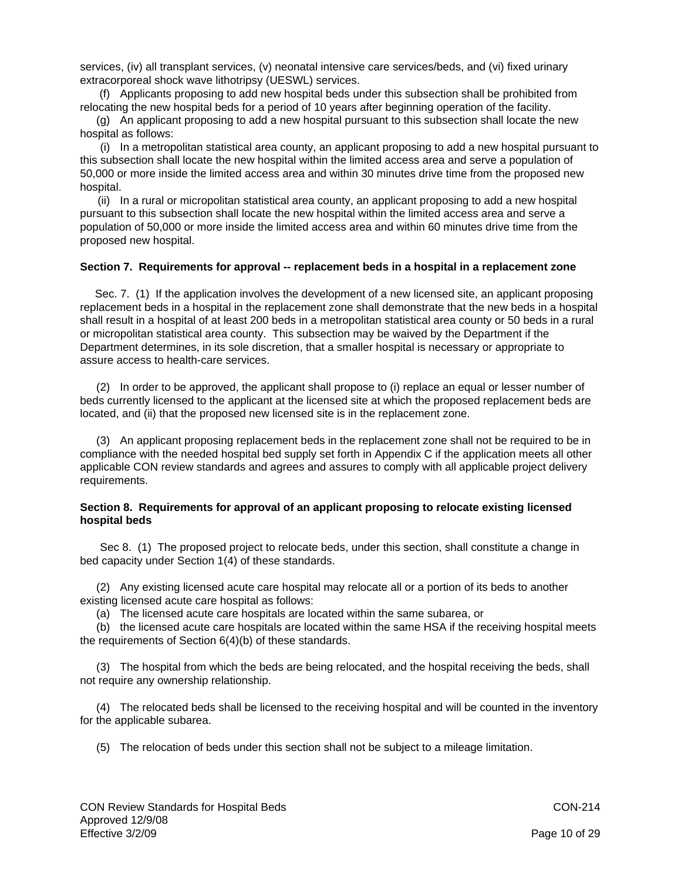services, (iv) all transplant services, (v) neonatal intensive care services/beds, and (vi) fixed urinary extracorporeal shock wave lithotripsy (UESWL) services.

 (f) Applicants proposing to add new hospital beds under this subsection shall be prohibited from relocating the new hospital beds for a period of 10 years after beginning operation of the facility.

 (g) An applicant proposing to add a new hospital pursuant to this subsection shall locate the new hospital as follows:

 (i) In a metropolitan statistical area county, an applicant proposing to add a new hospital pursuant to this subsection shall locate the new hospital within the limited access area and serve a population of 50,000 or more inside the limited access area and within 30 minutes drive time from the proposed new hospital.

 (ii) In a rural or micropolitan statistical area county, an applicant proposing to add a new hospital pursuant to this subsection shall locate the new hospital within the limited access area and serve a population of 50,000 or more inside the limited access area and within 60 minutes drive time from the proposed new hospital.

#### **Section 7. Requirements for approval -- replacement beds in a hospital in a replacement zone**

 Sec. 7. (1) If the application involves the development of a new licensed site, an applicant proposing replacement beds in a hospital in the replacement zone shall demonstrate that the new beds in a hospital shall result in a hospital of at least 200 beds in a metropolitan statistical area county or 50 beds in a rural or micropolitan statistical area county. This subsection may be waived by the Department if the Department determines, in its sole discretion, that a smaller hospital is necessary or appropriate to assure access to health-care services.

 (2) In order to be approved, the applicant shall propose to (i) replace an equal or lesser number of beds currently licensed to the applicant at the licensed site at which the proposed replacement beds are located, and (ii) that the proposed new licensed site is in the replacement zone.

 (3) An applicant proposing replacement beds in the replacement zone shall not be required to be in compliance with the needed hospital bed supply set forth in Appendix C if the application meets all other applicable CON review standards and agrees and assures to comply with all applicable project delivery requirements.

## **Section 8. Requirements for approval of an applicant proposing to relocate existing licensed hospital beds**

 Sec 8. (1) The proposed project to relocate beds, under this section, shall constitute a change in bed capacity under Section 1(4) of these standards.

 (2) Any existing licensed acute care hospital may relocate all or a portion of its beds to another existing licensed acute care hospital as follows:

(a) The licensed acute care hospitals are located within the same subarea, or

 (b) the licensed acute care hospitals are located within the same HSA if the receiving hospital meets the requirements of Section 6(4)(b) of these standards.

 (3) The hospital from which the beds are being relocated, and the hospital receiving the beds, shall not require any ownership relationship.

 (4) The relocated beds shall be licensed to the receiving hospital and will be counted in the inventory for the applicable subarea.

(5) The relocation of beds under this section shall not be subject to a mileage limitation.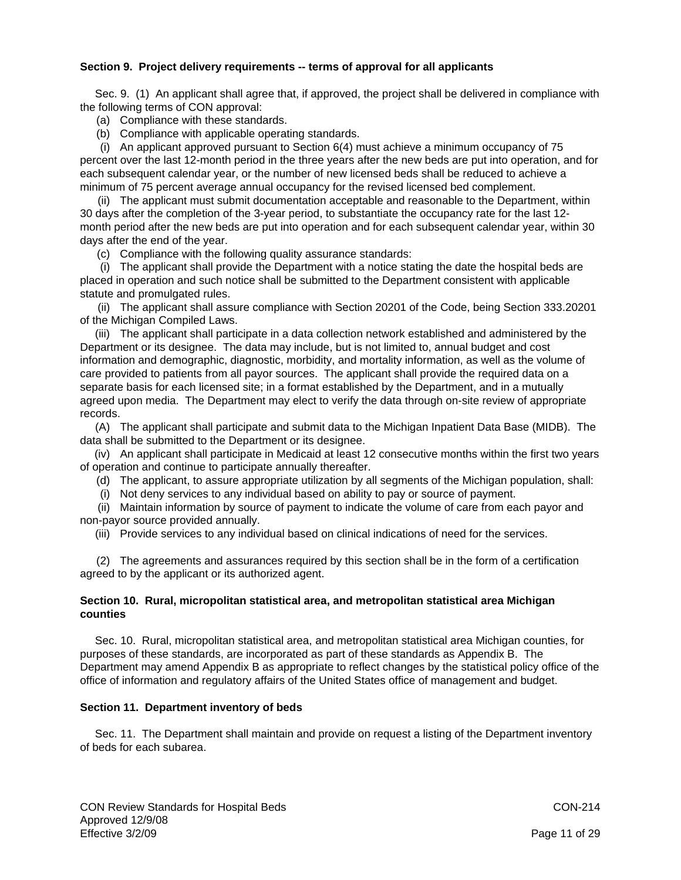# **Section 9. Project delivery requirements -- terms of approval for all applicants**

 Sec. 9. (1) An applicant shall agree that, if approved, the project shall be delivered in compliance with the following terms of CON approval:

- (a) Compliance with these standards.
- (b) Compliance with applicable operating standards.

 (i) An applicant approved pursuant to Section 6(4) must achieve a minimum occupancy of 75 percent over the last 12-month period in the three years after the new beds are put into operation, and for each subsequent calendar year, or the number of new licensed beds shall be reduced to achieve a minimum of 75 percent average annual occupancy for the revised licensed bed complement.

 (ii) The applicant must submit documentation acceptable and reasonable to the Department, within 30 days after the completion of the 3-year period, to substantiate the occupancy rate for the last 12 month period after the new beds are put into operation and for each subsequent calendar year, within 30 days after the end of the year.

(c) Compliance with the following quality assurance standards:

 (i) The applicant shall provide the Department with a notice stating the date the hospital beds are placed in operation and such notice shall be submitted to the Department consistent with applicable statute and promulgated rules.

 (ii) The applicant shall assure compliance with Section 20201 of the Code, being Section 333.20201 of the Michigan Compiled Laws.

(iii) The applicant shall participate in a data collection network established and administered by the Department or its designee. The data may include, but is not limited to, annual budget and cost information and demographic, diagnostic, morbidity, and mortality information, as well as the volume of care provided to patients from all payor sources. The applicant shall provide the required data on a separate basis for each licensed site; in a format established by the Department, and in a mutually agreed upon media. The Department may elect to verify the data through on-site review of appropriate records.

 (A) The applicant shall participate and submit data to the Michigan Inpatient Data Base (MIDB). The data shall be submitted to the Department or its designee.

 (iv) An applicant shall participate in Medicaid at least 12 consecutive months within the first two years of operation and continue to participate annually thereafter.

(d) The applicant, to assure appropriate utilization by all segments of the Michigan population, shall:

(i) Not deny services to any individual based on ability to pay or source of payment.

 (ii) Maintain information by source of payment to indicate the volume of care from each payor and non-payor source provided annually.

(iii) Provide services to any individual based on clinical indications of need for the services.

 (2) The agreements and assurances required by this section shall be in the form of a certification agreed to by the applicant or its authorized agent.

# **Section 10. Rural, micropolitan statistical area, and metropolitan statistical area Michigan counties**

 Sec. 10. Rural, micropolitan statistical area, and metropolitan statistical area Michigan counties, for purposes of these standards, are incorporated as part of these standards as Appendix B. The Department may amend Appendix B as appropriate to reflect changes by the statistical policy office of the office of information and regulatory affairs of the United States office of management and budget.

# **Section 11. Department inventory of beds**

 Sec. 11. The Department shall maintain and provide on request a listing of the Department inventory of beds for each subarea.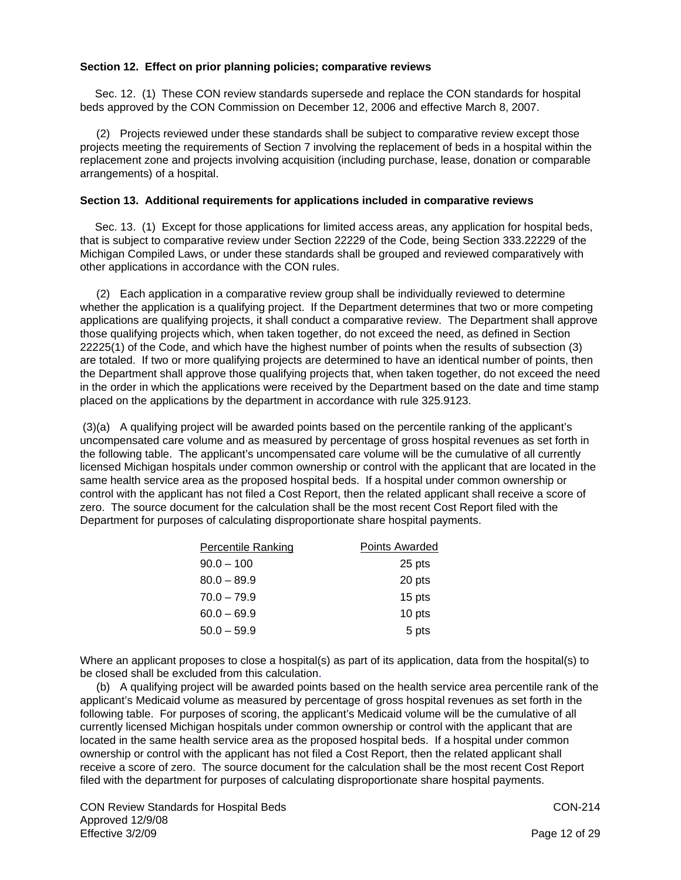# **Section 12. Effect on prior planning policies; comparative reviews**

 Sec. 12. (1) These CON review standards supersede and replace the CON standards for hospital beds approved by the CON Commission on December 12, 2006 and effective March 8, 2007.

 (2) Projects reviewed under these standards shall be subject to comparative review except those projects meeting the requirements of Section 7 involving the replacement of beds in a hospital within the replacement zone and projects involving acquisition (including purchase, lease, donation or comparable arrangements) of a hospital.

## **Section 13. Additional requirements for applications included in comparative reviews**

 Sec. 13. (1) Except for those applications for limited access areas, any application for hospital beds, that is subject to comparative review under Section 22229 of the Code, being Section 333.22229 of the Michigan Compiled Laws, or under these standards shall be grouped and reviewed comparatively with other applications in accordance with the CON rules.

 (2) Each application in a comparative review group shall be individually reviewed to determine whether the application is a qualifying project. If the Department determines that two or more competing applications are qualifying projects, it shall conduct a comparative review. The Department shall approve those qualifying projects which, when taken together, do not exceed the need, as defined in Section 22225(1) of the Code, and which have the highest number of points when the results of subsection (3) are totaled. If two or more qualifying projects are determined to have an identical number of points, then the Department shall approve those qualifying projects that, when taken together, do not exceed the need in the order in which the applications were received by the Department based on the date and time stamp placed on the applications by the department in accordance with rule 325.9123.

 (3)(a) A qualifying project will be awarded points based on the percentile ranking of the applicant's uncompensated care volume and as measured by percentage of gross hospital revenues as set forth in the following table. The applicant's uncompensated care volume will be the cumulative of all currently licensed Michigan hospitals under common ownership or control with the applicant that are located in the same health service area as the proposed hospital beds. If a hospital under common ownership or control with the applicant has not filed a Cost Report, then the related applicant shall receive a score of zero. The source document for the calculation shall be the most recent Cost Report filed with the Department for purposes of calculating disproportionate share hospital payments.

| <b>Percentile Ranking</b> | Points Awarded |
|---------------------------|----------------|
| $90.0 - 100$              | 25 pts         |
| $80.0 - 89.9$             | 20 pts         |
| $70.0 - 79.9$             | 15 pts         |
| $60.0 - 69.9$             | 10 pts         |
| $50.0 - 59.9$             | 5 pts          |

Where an applicant proposes to close a hospital(s) as part of its application, data from the hospital(s) to be closed shall be excluded from this calculation.

 (b) A qualifying project will be awarded points based on the health service area percentile rank of the applicant's Medicaid volume as measured by percentage of gross hospital revenues as set forth in the following table. For purposes of scoring, the applicant's Medicaid volume will be the cumulative of all currently licensed Michigan hospitals under common ownership or control with the applicant that are located in the same health service area as the proposed hospital beds. If a hospital under common ownership or control with the applicant has not filed a Cost Report, then the related applicant shall receive a score of zero. The source document for the calculation shall be the most recent Cost Report filed with the department for purposes of calculating disproportionate share hospital payments.

CON Review Standards for Hospital Beds CON-214 Approved 12/9/08 Effective 3/2/09 **Page 12 of 29**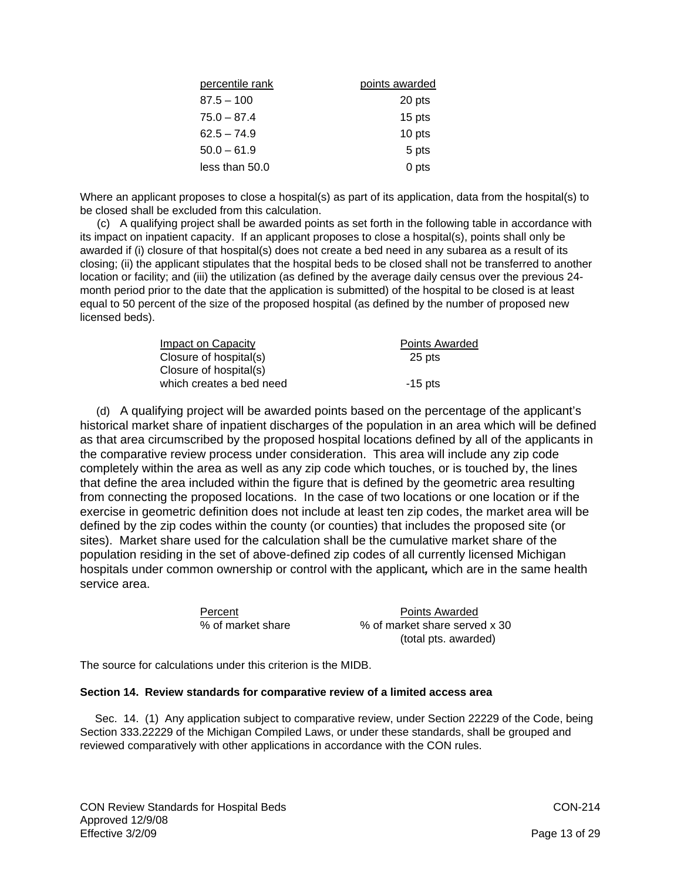| percentile rank | points awarded |
|-----------------|----------------|
| $87.5 - 100$    | 20 pts         |
| $75.0 - 87.4$   | 15 pts         |
| $62.5 - 74.9$   | 10 pts         |
| $50.0 - 61.9$   | 5 pts          |
| less than 50.0  | 0 pts          |

Where an applicant proposes to close a hospital(s) as part of its application, data from the hospital(s) to be closed shall be excluded from this calculation.

 (c) A qualifying project shall be awarded points as set forth in the following table in accordance with its impact on inpatient capacity. If an applicant proposes to close a hospital(s), points shall only be awarded if (i) closure of that hospital(s) does not create a bed need in any subarea as a result of its closing; (ii) the applicant stipulates that the hospital beds to be closed shall not be transferred to another location or facility; and (iii) the utilization (as defined by the average daily census over the previous 24 month period prior to the date that the application is submitted) of the hospital to be closed is at least equal to 50 percent of the size of the proposed hospital (as defined by the number of proposed new licensed beds).

| Impact on Capacity       | <b>Points Awarded</b> |
|--------------------------|-----------------------|
| Closure of hospital(s)   | 25 pts                |
| Closure of hospital(s)   |                       |
| which creates a bed need | $-15$ pts             |

 (d) A qualifying project will be awarded points based on the percentage of the applicant's historical market share of inpatient discharges of the population in an area which will be defined as that area circumscribed by the proposed hospital locations defined by all of the applicants in the comparative review process under consideration. This area will include any zip code completely within the area as well as any zip code which touches, or is touched by, the lines that define the area included within the figure that is defined by the geometric area resulting from connecting the proposed locations. In the case of two locations or one location or if the exercise in geometric definition does not include at least ten zip codes, the market area will be defined by the zip codes within the county (or counties) that includes the proposed site (or sites). Market share used for the calculation shall be the cumulative market share of the population residing in the set of above-defined zip codes of all currently licensed Michigan hospitals under common ownership or control with the applicant*,* which are in the same health service area.

| Percent           | Points Awarded                |
|-------------------|-------------------------------|
| % of market share | % of market share served x 30 |
|                   | (total pts. awarded)          |

The source for calculations under this criterion is the MIDB.

#### **Section 14. Review standards for comparative review of a limited access area**

 Sec. 14. (1) Any application subject to comparative review, under Section 22229 of the Code, being Section 333.22229 of the Michigan Compiled Laws, or under these standards, shall be grouped and reviewed comparatively with other applications in accordance with the CON rules.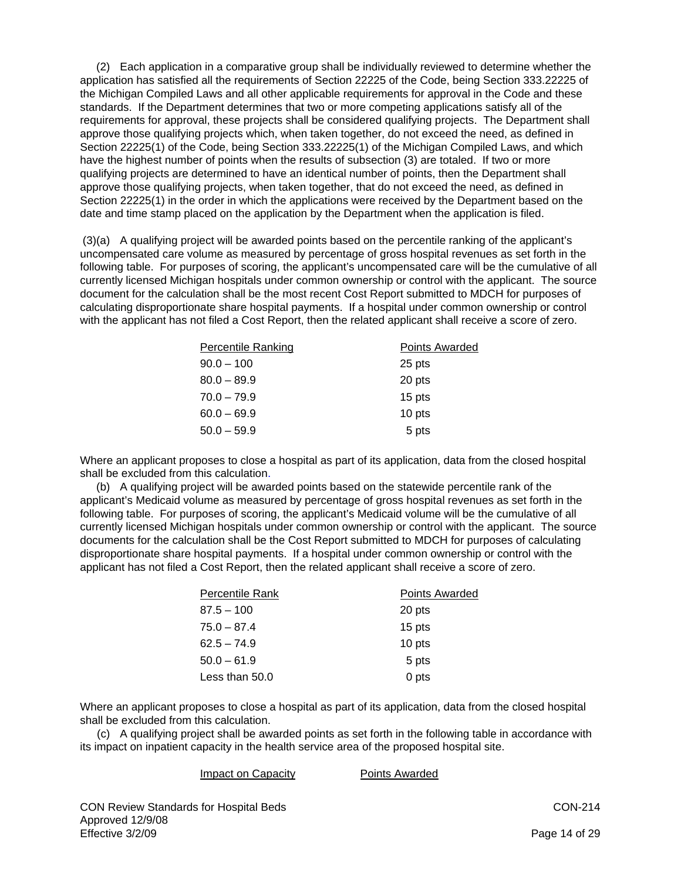(2) Each application in a comparative group shall be individually reviewed to determine whether the application has satisfied all the requirements of Section 22225 of the Code, being Section 333.22225 of the Michigan Compiled Laws and all other applicable requirements for approval in the Code and these standards. If the Department determines that two or more competing applications satisfy all of the requirements for approval, these projects shall be considered qualifying projects. The Department shall approve those qualifying projects which, when taken together, do not exceed the need, as defined in Section 22225(1) of the Code, being Section 333.22225(1) of the Michigan Compiled Laws, and which have the highest number of points when the results of subsection (3) are totaled. If two or more qualifying projects are determined to have an identical number of points, then the Department shall approve those qualifying projects, when taken together, that do not exceed the need, as defined in Section 22225(1) in the order in which the applications were received by the Department based on the date and time stamp placed on the application by the Department when the application is filed.

 (3)(a) A qualifying project will be awarded points based on the percentile ranking of the applicant's uncompensated care volume as measured by percentage of gross hospital revenues as set forth in the following table. For purposes of scoring, the applicant's uncompensated care will be the cumulative of all currently licensed Michigan hospitals under common ownership or control with the applicant. The source document for the calculation shall be the most recent Cost Report submitted to MDCH for purposes of calculating disproportionate share hospital payments. If a hospital under common ownership or control with the applicant has not filed a Cost Report, then the related applicant shall receive a score of zero.

| <b>Percentile Ranking</b> | <b>Points Awarded</b> |
|---------------------------|-----------------------|
| $90.0 - 100$              | 25 pts                |
| $80.0 - 89.9$             | 20 pts                |
| $70.0 - 79.9$             | 15 pts                |
| $60.0 - 69.9$             | 10 pts                |
| $50.0 - 59.9$             | 5 pts                 |

Where an applicant proposes to close a hospital as part of its application, data from the closed hospital shall be excluded from this calculation.

 (b) A qualifying project will be awarded points based on the statewide percentile rank of the applicant's Medicaid volume as measured by percentage of gross hospital revenues as set forth in the following table. For purposes of scoring, the applicant's Medicaid volume will be the cumulative of all currently licensed Michigan hospitals under common ownership or control with the applicant. The source documents for the calculation shall be the Cost Report submitted to MDCH for purposes of calculating disproportionate share hospital payments. If a hospital under common ownership or control with the applicant has not filed a Cost Report, then the related applicant shall receive a score of zero.

| Percentile Rank | <b>Points Awarded</b> |  |
|-----------------|-----------------------|--|
| $87.5 - 100$    | 20 pts                |  |
| $75.0 - 87.4$   | 15 pts                |  |
| $62.5 - 74.9$   | 10 pts                |  |
| $50.0 - 61.9$   | 5 pts                 |  |
| Less than 50.0  | 0 pts                 |  |

Where an applicant proposes to close a hospital as part of its application, data from the closed hospital shall be excluded from this calculation.

 (c) A qualifying project shall be awarded points as set forth in the following table in accordance with its impact on inpatient capacity in the health service area of the proposed hospital site.

#### Impact on Capacity **Points Awarded**

CON Review Standards for Hospital Beds CON-214 Approved 12/9/08 Effective 3/2/09 **Page 14 of 29**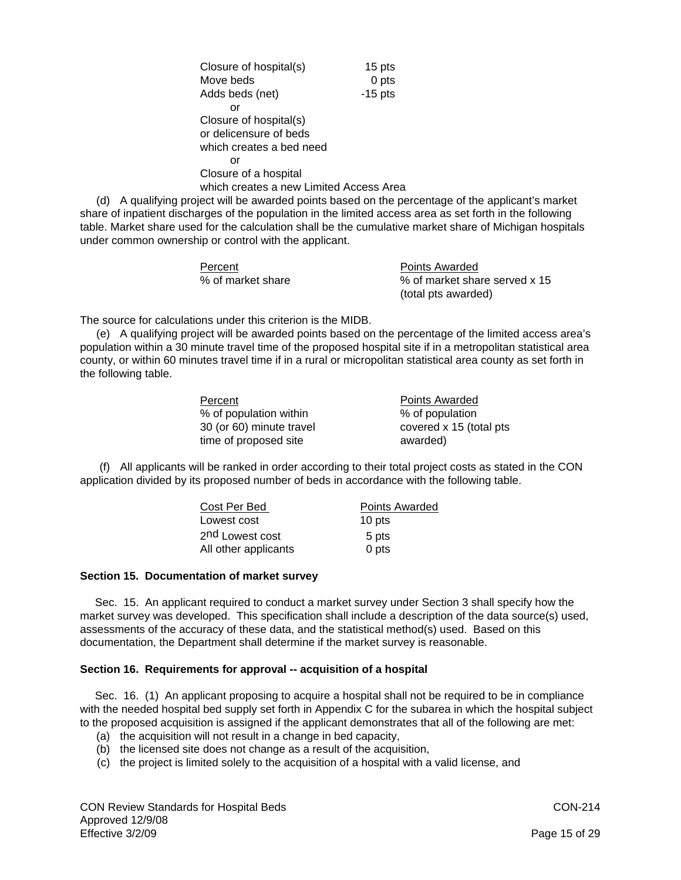Closure of hospital(s) 15 pts Move beds 0 pts Adds beds (net) -15 pts or Closure of hospital(s) or delicensure of beds which creates a bed need or Closure of a hospital which creates a new Limited Access Area

 (d) A qualifying project will be awarded points based on the percentage of the applicant's market share of inpatient discharges of the population in the limited access area as set forth in the following table. Market share used for the calculation shall be the cumulative market share of Michigan hospitals under common ownership or control with the applicant.

| Percent           |
|-------------------|
| % of market share |

Points Awarded % of market share served x 15 (total pts awarded)

The source for calculations under this criterion is the MIDB.

 (e) A qualifying project will be awarded points based on the percentage of the limited access area's population within a 30 minute travel time of the proposed hospital site if in a metropolitan statistical area county, or within 60 minutes travel time if in a rural or micropolitan statistical area county as set forth in the following table.

| Percent                  | <b>Points Awarded</b>   |
|--------------------------|-------------------------|
| % of population within   | % of population         |
| 30 (or 60) minute travel | covered x 15 (total pts |
| time of proposed site    | awarded)                |

 (f) All applicants will be ranked in order according to their total project costs as stated in the CON application divided by its proposed number of beds in accordance with the following table.

| Cost Per Bed                | Points Awarded |  |
|-----------------------------|----------------|--|
| Lowest cost                 | 10 pts         |  |
| 2 <sup>nd</sup> Lowest cost | 5 pts          |  |
| All other applicants        | 0 pts          |  |

## **Section 15. Documentation of market survey**

 Sec. 15. An applicant required to conduct a market survey under Section 3 shall specify how the market survey was developed. This specification shall include a description of the data source(s) used, assessments of the accuracy of these data, and the statistical method(s) used. Based on this documentation, the Department shall determine if the market survey is reasonable.

## **Section 16. Requirements for approval -- acquisition of a hospital**

 Sec. 16. (1) An applicant proposing to acquire a hospital shall not be required to be in compliance with the needed hospital bed supply set forth in Appendix C for the subarea in which the hospital subject to the proposed acquisition is assigned if the applicant demonstrates that all of the following are met:

- (a) the acquisition will not result in a change in bed capacity,
- (b) the licensed site does not change as a result of the acquisition,
- (c) the project is limited solely to the acquisition of a hospital with a valid license, and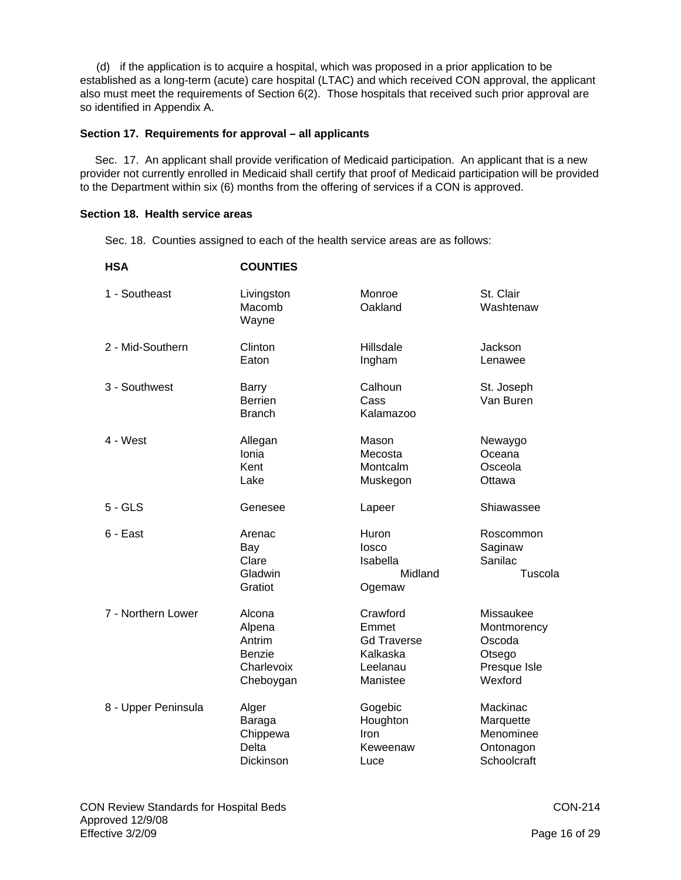(d) if the application is to acquire a hospital, which was proposed in a prior application to be established as a long-term (acute) care hospital (LTAC) and which received CON approval, the applicant also must meet the requirements of Section 6(2). Those hospitals that received such prior approval are so identified in Appendix A.

## **Section 17. Requirements for approval – all applicants**

 Sec. 17. An applicant shall provide verification of Medicaid participation. An applicant that is a new provider not currently enrolled in Medicaid shall certify that proof of Medicaid participation will be provided to the Department within six (6) months from the offering of services if a CON is approved.

# **Section 18. Health service areas**

Sec. 18. Counties assigned to each of the health service areas are as follows:

| <b>HSA</b>          | <b>COUNTIES</b>                                                 |                                                                             |                                                                         |
|---------------------|-----------------------------------------------------------------|-----------------------------------------------------------------------------|-------------------------------------------------------------------------|
| 1 - Southeast       | Livingston<br>Macomb<br>Wayne                                   | Monroe<br>Oakland                                                           | St. Clair<br>Washtenaw                                                  |
| 2 - Mid-Southern    | Clinton<br>Eaton                                                | Hillsdale<br>Ingham                                                         | Jackson<br>Lenawee                                                      |
| 3 - Southwest       | Barry<br><b>Berrien</b><br><b>Branch</b>                        | Calhoun<br>Cass<br>Kalamazoo                                                | St. Joseph<br>Van Buren                                                 |
| 4 - West            | Allegan<br>Ionia<br>Kent<br>Lake                                | Mason<br>Mecosta<br>Montcalm<br>Muskegon                                    | Newaygo<br>Oceana<br>Osceola<br>Ottawa                                  |
| $5 - GLS$           | Genesee                                                         | Lapeer                                                                      | Shiawassee                                                              |
| 6 - East            | Arenac<br>Bay<br>Clare<br>Gladwin<br>Gratiot                    | Huron<br>losco<br>Isabella<br>Midland<br>Ogemaw                             | Roscommon<br>Saginaw<br>Sanilac<br>Tuscola                              |
| 7 - Northern Lower  | Alcona<br>Alpena<br>Antrim<br>Benzie<br>Charlevoix<br>Cheboygan | Crawford<br>Emmet<br><b>Gd Traverse</b><br>Kalkaska<br>Leelanau<br>Manistee | Missaukee<br>Montmorency<br>Oscoda<br>Otsego<br>Presque Isle<br>Wexford |
| 8 - Upper Peninsula | Alger<br>Baraga<br>Chippewa<br><b>Delta</b><br><b>Dickinson</b> | Gogebic<br>Houghton<br>Iron<br>Keweenaw<br>Luce                             | Mackinac<br>Marquette<br>Menominee<br>Ontonagon<br>Schoolcraft          |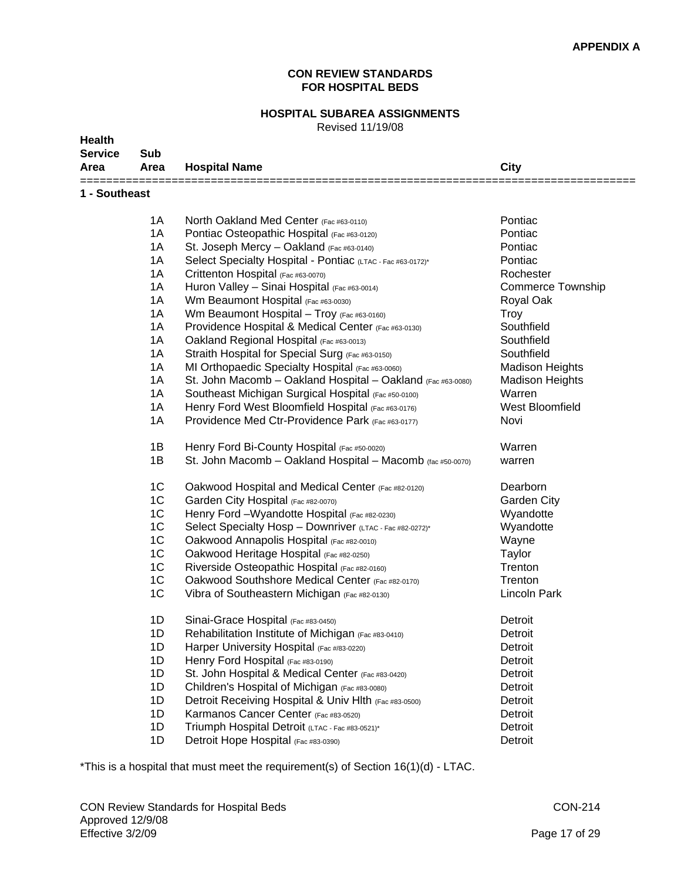# **CON REVIEW STANDARDS FOR HOSPITAL BEDS**

# **HOSPITAL SUBAREA ASSIGNMENTS**

Revised 11/19/08

| <b>Service</b><br>Area | Sub<br>Area    | <b>Hospital Name</b>                                        | City                   |
|------------------------|----------------|-------------------------------------------------------------|------------------------|
| 1 - Southeast          |                |                                                             |                        |
|                        | 1A             | North Oakland Med Center (Fac #63-0110)                     | Pontiac                |
|                        | 1A             | Pontiac Osteopathic Hospital (Fac #63-0120)                 | Pontiac                |
|                        | 1A             | St. Joseph Mercy - Oakland (Fac #63-0140)                   | Pontiac                |
|                        | 1A             | Select Specialty Hospital - Pontiac (LTAC - Fac #63-0172)*  | Pontiac                |
|                        | 1A             | Crittenton Hospital (Fac #63-0070)                          | Rochester              |
|                        | 1A             | Huron Valley - Sinai Hospital (Fac #63-0014)                | Commerce Township      |
|                        | 1A             | Wm Beaumont Hospital (Fac #63-0030)                         | Royal Oak              |
|                        | 1A             | Wm Beaumont Hospital - Troy (Fac #63-0160)                  | <b>Troy</b>            |
|                        | 1A             | Providence Hospital & Medical Center (Fac #63-0130)         | Southfield             |
|                        | 1A             | Oakland Regional Hospital (Fac #63-0013)                    | Southfield             |
|                        | 1A             | Straith Hospital for Special Surg (Fac #63-0150)            | Southfield             |
|                        | 1A             | MI Orthopaedic Specialty Hospital (Fac #63-0060)            | <b>Madison Heights</b> |
|                        | 1A             | St. John Macomb - Oakland Hospital - Oakland (Fac #63-0080) | <b>Madison Heights</b> |
|                        | 1A             | Southeast Michigan Surgical Hospital (Fac #50-0100)         | Warren                 |
|                        | 1A             | Henry Ford West Bloomfield Hospital (Fac #63-0176)          | West Bloomfield        |
|                        | 1A             | Providence Med Ctr-Providence Park (Fac #63-0177)           | Novi                   |
|                        | 1B             | Henry Ford Bi-County Hospital (Fac #50-0020)                | Warren                 |
|                        | 1B             | St. John Macomb - Oakland Hospital - Macomb (fac #50-0070)  | warren                 |
|                        | 1C             | Oakwood Hospital and Medical Center (Fac #82-0120)          | Dearborn               |
|                        | 1C             | Garden City Hospital (Fac #82-0070)                         | Garden City            |
|                        | 1C             | Henry Ford - Wyandotte Hospital (Fac #82-0230)              | Wyandotte              |
|                        | 1C             | Select Specialty Hosp - Downriver (LTAC - Fac #82-0272)*    | Wyandotte              |
|                        | 1C             | Oakwood Annapolis Hospital (Fac #82-0010)                   | Wayne                  |
|                        | 1C             | Oakwood Heritage Hospital (Fac #82-0250)                    | Taylor                 |
|                        | 1C             | Riverside Osteopathic Hospital (Fac #82-0160)               | Trenton                |
|                        | 1C             | Oakwood Southshore Medical Center (Fac #82-0170)            | Trenton                |
|                        | 1 <sup>C</sup> | Vibra of Southeastern Michigan (Fac #82-0130)               | Lincoln Park           |
|                        | 1D             | Sinai-Grace Hospital (Fac #83-0450)                         | Detroit                |
|                        | 1D             | Rehabilitation Institute of Michigan (Fac #83-0410)         | Detroit                |
|                        | 1D             | Harper University Hospital (Fac #/83-0220)                  | Detroit                |
|                        | 1D             | Henry Ford Hospital (Fac #83-0190)                          | Detroit                |
|                        | 1D             | St. John Hospital & Medical Center (Fac #83-0420)           | Detroit                |
|                        | 1D             | Children's Hospital of Michigan (Fac #83-0080)              | Detroit                |
|                        | 1D             | Detroit Receiving Hospital & Univ Hlth (Fac #83-0500)       | Detroit                |
|                        | 1D             | Karmanos Cancer Center (Fac #83-0520)                       | Detroit                |
|                        | 1D             | Triumph Hospital Detroit (LTAC - Fac #83-0521)*             | Detroit                |
|                        | 1D             | Detroit Hope Hospital (Fac #83-0390)                        | Detroit                |

\*This is a hospital that must meet the requirement(s) of Section 16(1)(d) - LTAC.

**Health**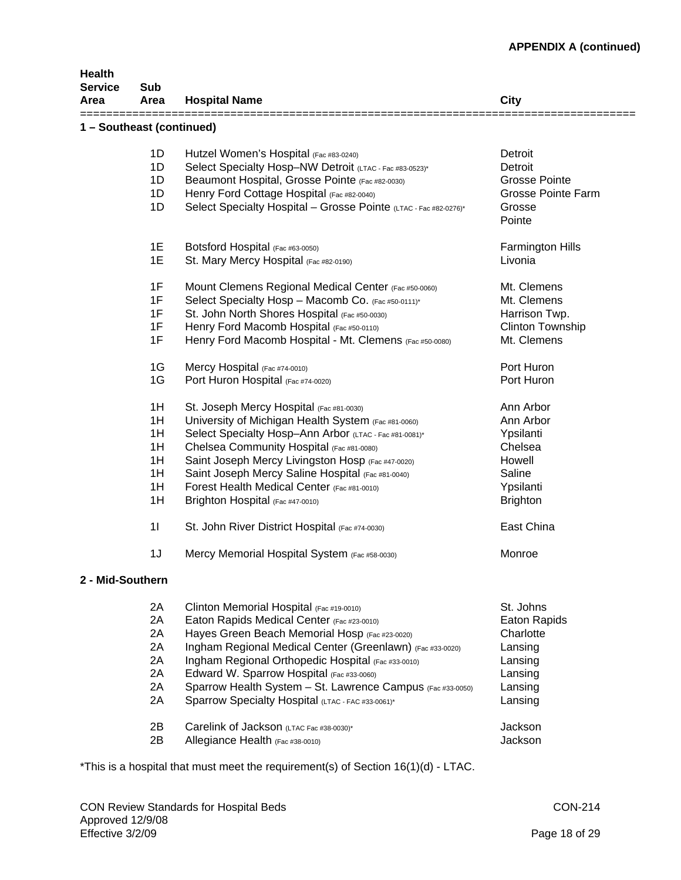| <b>Health</b><br><b>Service</b><br>Area | Sub<br>Area               | <b>Hospital Name</b>                                                                                            | City                      |  |  |  |
|-----------------------------------------|---------------------------|-----------------------------------------------------------------------------------------------------------------|---------------------------|--|--|--|
|                                         | 1 - Southeast (continued) |                                                                                                                 |                           |  |  |  |
|                                         | 1D                        | Hutzel Women's Hospital (Fac #83-0240)                                                                          | Detroit                   |  |  |  |
|                                         | 1D                        | Select Specialty Hosp-NW Detroit (LTAC - Fac #83-0523)*                                                         | Detroit                   |  |  |  |
|                                         | 1D                        | Beaumont Hospital, Grosse Pointe (Fac #82-0030)                                                                 | Grosse Pointe             |  |  |  |
|                                         | 1D                        | Henry Ford Cottage Hospital (Fac #82-0040)                                                                      | <b>Grosse Pointe Farm</b> |  |  |  |
|                                         | 1D                        | Select Specialty Hospital - Grosse Pointe (LTAC - Fac #82-0276)*                                                | Grosse                    |  |  |  |
|                                         |                           |                                                                                                                 | Pointe                    |  |  |  |
|                                         | 1E                        | Botsford Hospital (Fac #63-0050)                                                                                | <b>Farmington Hills</b>   |  |  |  |
|                                         | 1E                        | St. Mary Mercy Hospital (Fac #82-0190)                                                                          | Livonia                   |  |  |  |
|                                         | 1F                        | Mount Clemens Regional Medical Center (Fac #50-0060)                                                            | Mt. Clemens               |  |  |  |
|                                         | 1F                        | Select Specialty Hosp - Macomb Co. (Fac #50-0111)*                                                              | Mt. Clemens               |  |  |  |
|                                         | 1F                        | St. John North Shores Hospital (Fac #50-0030)                                                                   | Harrison Twp.             |  |  |  |
|                                         | 1F                        | Henry Ford Macomb Hospital (Fac #50-0110)                                                                       | <b>Clinton Township</b>   |  |  |  |
|                                         | 1F                        | Henry Ford Macomb Hospital - Mt. Clemens (Fac #50-0080)                                                         | Mt. Clemens               |  |  |  |
|                                         | 1G                        | Mercy Hospital (Fac #74-0010)                                                                                   | Port Huron                |  |  |  |
|                                         | 1G                        | Port Huron Hospital (Fac #74-0020)                                                                              | Port Huron                |  |  |  |
|                                         | 1H                        | St. Joseph Mercy Hospital (Fac #81-0030)                                                                        | Ann Arbor                 |  |  |  |
|                                         | 1H                        | University of Michigan Health System (Fac #81-0060)                                                             | Ann Arbor                 |  |  |  |
|                                         | 1H                        | Select Specialty Hosp-Ann Arbor (LTAC - Fac #81-0081)*                                                          | Ypsilanti                 |  |  |  |
|                                         | 1H                        | Chelsea Community Hospital (Fac #81-0080)                                                                       | Chelsea                   |  |  |  |
|                                         | 1H                        | Saint Joseph Mercy Livingston Hosp (Fac #47-0020)                                                               | Howell                    |  |  |  |
|                                         | 1H                        | Saint Joseph Mercy Saline Hospital (Fac #81-0040)                                                               | Saline                    |  |  |  |
|                                         | 1H                        | Forest Health Medical Center (Fac #81-0010)                                                                     | Ypsilanti                 |  |  |  |
|                                         | 1H                        | Brighton Hospital (Fac #47-0010)                                                                                | <b>Brighton</b>           |  |  |  |
|                                         | 11                        | St. John River District Hospital (Fac #74-0030)                                                                 | East China                |  |  |  |
|                                         | 1J                        | Mercy Memorial Hospital System (Fac #58-0030)                                                                   | Monroe                    |  |  |  |
| 2 - Mid-Southern                        |                           |                                                                                                                 |                           |  |  |  |
|                                         | 2A                        | Clinton Memorial Hospital (Fac #19-0010)                                                                        | St. Johns                 |  |  |  |
|                                         | 2A                        | Eaton Rapids Medical Center (Fac #23-0010)                                                                      | <b>Eaton Rapids</b>       |  |  |  |
|                                         | 2A                        | Hayes Green Beach Memorial Hosp (Fac #23-0020)                                                                  | Charlotte                 |  |  |  |
|                                         | 2A                        |                                                                                                                 |                           |  |  |  |
|                                         | 2A                        | Ingham Regional Medical Center (Greenlawn) (Fac #33-0020)<br>Ingham Regional Orthopedic Hospital (Fac #33-0010) | Lansing                   |  |  |  |
|                                         | 2A                        |                                                                                                                 | Lansing                   |  |  |  |
|                                         |                           | Edward W. Sparrow Hospital (Fac #33-0060)                                                                       | Lansing                   |  |  |  |
|                                         | 2A<br>2A                  | Sparrow Health System - St. Lawrence Campus (Fac #33-0050)<br>Sparrow Specialty Hospital (LTAC - FAC #33-0061)* | Lansing<br>Lansing        |  |  |  |
|                                         | 2B                        | Carelink of Jackson (LTAC Fac #38-0030)*                                                                        | Jackson                   |  |  |  |
|                                         | 2B                        | Allegiance Health (Fac #38-0010)                                                                                | Jackson                   |  |  |  |
|                                         |                           |                                                                                                                 |                           |  |  |  |

\*This is a hospital that must meet the requirement(s) of Section 16(1)(d) - LTAC.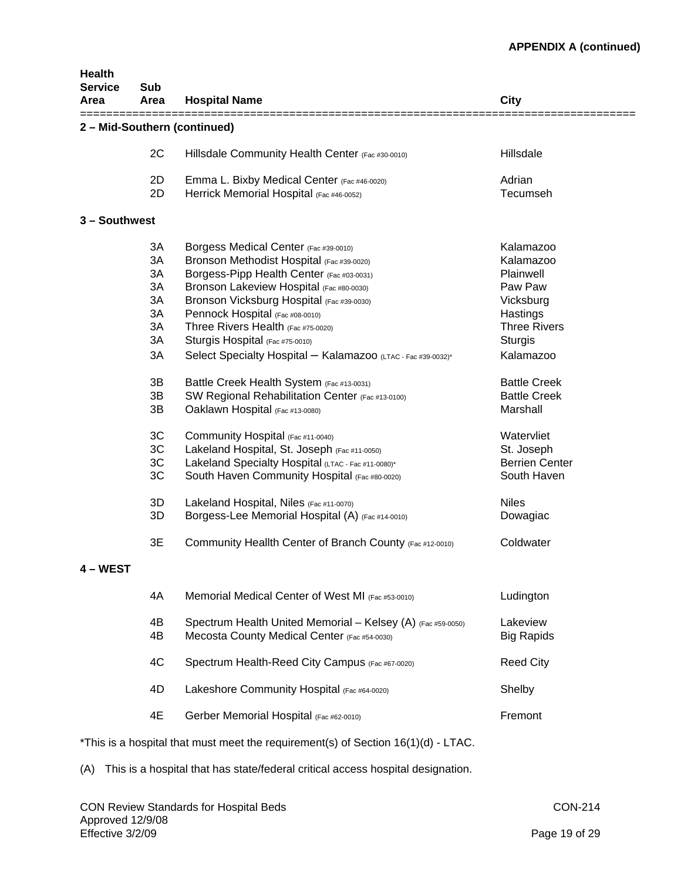| Health<br><b>Service</b><br>Area | Sub<br>Area | <b>Hospital Name</b>                                                                 | City                  |
|----------------------------------|-------------|--------------------------------------------------------------------------------------|-----------------------|
|                                  |             | 2 - Mid-Southern (continued)                                                         |                       |
|                                  | 2C          | Hillsdale Community Health Center (Fac #30-0010)                                     | Hillsdale             |
|                                  | 2D          | Emma L. Bixby Medical Center (Fac #46-0020)                                          | Adrian                |
|                                  | 2D          | Herrick Memorial Hospital (Fac #46-0052)                                             | Tecumseh              |
| 3 - Southwest                    |             |                                                                                      |                       |
|                                  | 3A          | Borgess Medical Center (Fac #39-0010)                                                | Kalamazoo             |
|                                  | 3A          | Bronson Methodist Hospital (Fac #39-0020)                                            | Kalamazoo             |
|                                  | 3A          | Borgess-Pipp Health Center (Fac #03-0031)                                            | Plainwell             |
|                                  | 3A          | Bronson Lakeview Hospital (Fac #80-0030)                                             | Paw Paw               |
|                                  | 3A          | Bronson Vicksburg Hospital (Fac #39-0030)                                            | Vicksburg             |
|                                  | 3A          | Pennock Hospital (Fac #08-0010)                                                      | Hastings              |
|                                  | 3A          | Three Rivers Health (Fac #75-0020)                                                   | <b>Three Rivers</b>   |
|                                  | 3A          | Sturgis Hospital (Fac #75-0010)                                                      | <b>Sturgis</b>        |
|                                  |             |                                                                                      |                       |
|                                  | 3A          | Select Specialty Hospital - Kalamazoo (LTAC - Fac #39-0032)*                         | Kalamazoo             |
|                                  | 3B          | Battle Creek Health System (Fac #13-0031)                                            | <b>Battle Creek</b>   |
|                                  | 3B          | SW Regional Rehabilitation Center (Fac #13-0100)                                     | <b>Battle Creek</b>   |
|                                  | 3B          | Oaklawn Hospital (Fac #13-0080)                                                      | Marshall              |
|                                  |             |                                                                                      |                       |
|                                  | 3C          | Community Hospital (Fac #11-0040)                                                    | Watervliet            |
|                                  | 3C          | Lakeland Hospital, St. Joseph (Fac #11-0050)                                         | St. Joseph            |
|                                  | 3C          | Lakeland Specialty Hospital (LTAC - Fac #11-0080)*                                   | <b>Berrien Center</b> |
|                                  | 3C          | South Haven Community Hospital (Fac #80-0020)                                        | South Haven           |
|                                  | 3D          | Lakeland Hospital, Niles (Fac #11-0070)                                              | <b>Niles</b>          |
|                                  | 3D          | Borgess-Lee Memorial Hospital (A) (Fac #14-0010)                                     | Dowagiac              |
|                                  | 3E          | Community Heallth Center of Branch County (Fac #12-0010)                             | Coldwater             |
| - WEST                           |             |                                                                                      |                       |
|                                  | 4A          | Memorial Medical Center of West MI (Fac #53-0010)                                    | Ludington             |
|                                  |             |                                                                                      |                       |
|                                  | 4Β          | Spectrum Health United Memorial - Kelsey (A) (Fac #59-0050)                          | Lakeview              |
|                                  | 4B          | Mecosta County Medical Center (Fac #54-0030)                                         | <b>Big Rapids</b>     |
|                                  | 4C          | Spectrum Health-Reed City Campus (Fac #67-0020)                                      | <b>Reed City</b>      |
|                                  | 4D          | Lakeshore Community Hospital (Fac #64-0020)                                          | Shelby                |
|                                  | 4E          | Gerber Memorial Hospital (Fac #62-0010)                                              | Fremont               |
|                                  |             | $*$ This is a hospital that must meet the requirement(s) of Section 16(1)(d) - LTAC. |                       |

(A) This is a hospital that has state/federal critical access hospital designation.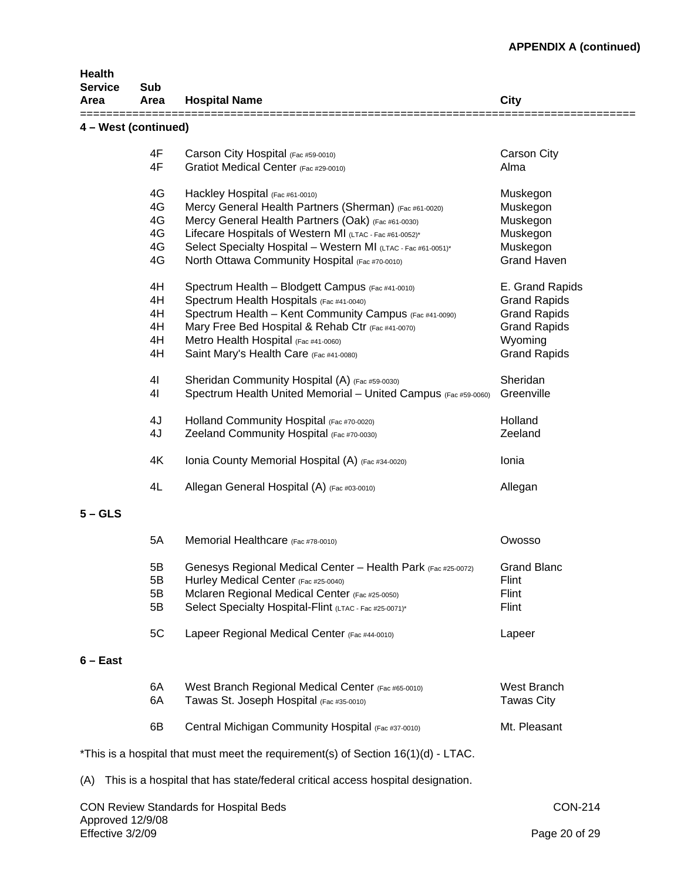| <b>Health</b><br><b>Service</b><br>Area | Sub<br>Area    | <b>Hospital Name</b>                                                                 | City                |
|-----------------------------------------|----------------|--------------------------------------------------------------------------------------|---------------------|
| 4 - West (continued)                    |                |                                                                                      |                     |
|                                         | 4F             | Carson City Hospital (Fac #59-0010)                                                  | Carson City         |
|                                         | 4F             | Gratiot Medical Center (Fac #29-0010)                                                | Alma                |
|                                         | 4G             | Hackley Hospital (Fac #61-0010)                                                      | Muskegon            |
|                                         | 4G             | Mercy General Health Partners (Sherman) (Fac #61-0020)                               | Muskegon            |
|                                         | 4G             | Mercy General Health Partners (Oak) (Fac #61-0030)                                   | Muskegon            |
|                                         | 4G             | Lifecare Hospitals of Western MI (LTAC - Fac #61-0052)*                              | Muskegon            |
|                                         | 4G             | Select Specialty Hospital - Western MI (LTAC - Fac #61-0051)*                        | Muskegon            |
|                                         | 4G             | North Ottawa Community Hospital (Fac #70-0010)                                       | <b>Grand Haven</b>  |
|                                         | 4H             | Spectrum Health - Blodgett Campus (Fac #41-0010)                                     | E. Grand Rapids     |
|                                         | 4H             | Spectrum Health Hospitals (Fac #41-0040)                                             | <b>Grand Rapids</b> |
|                                         | 4H             | Spectrum Health - Kent Community Campus (Fac #41-0090)                               | <b>Grand Rapids</b> |
|                                         | 4H             | Mary Free Bed Hospital & Rehab Ctr (Fac #41-0070)                                    | <b>Grand Rapids</b> |
|                                         | 4H             | Metro Health Hospital (Fac #41-0060)                                                 | Wyoming             |
|                                         | 4H             | Saint Mary's Health Care (Fac #41-0080)                                              | <b>Grand Rapids</b> |
|                                         | 4 <sub>l</sub> | Sheridan Community Hospital (A) (Fac #59-0030)                                       | Sheridan            |
|                                         | 4 <sub>l</sub> | Spectrum Health United Memorial - United Campus (Fac #59-0060)                       | Greenville          |
|                                         | 4J             | Holland Community Hospital (Fac #70-0020)                                            | Holland             |
|                                         | 4J             | Zeeland Community Hospital (Fac #70-0030)                                            | Zeeland             |
|                                         |                |                                                                                      |                     |
|                                         | 4K             | Ionia County Memorial Hospital (A) (Fac #34-0020)                                    | Ionia               |
|                                         | 4L             | Allegan General Hospital (A) (Fac #03-0010)                                          | Allegan             |
| $5 - GLS$                               |                |                                                                                      |                     |
|                                         | 5A             | Memorial Healthcare (Fac #78-0010)                                                   | Owosso              |
|                                         | 5B             | Genesys Regional Medical Center - Health Park (Fac #25-0072)                         | <b>Grand Blanc</b>  |
|                                         | 5B             | Hurley Medical Center (Fac #25-0040)                                                 | Flint               |
|                                         | 5B             | Mclaren Regional Medical Center (Fac #25-0050)                                       | Flint               |
|                                         | 5B             | Select Specialty Hospital-Flint (LTAC - Fac #25-0071)*                               | Flint               |
|                                         | 5C             | Lapeer Regional Medical Center (Fac #44-0010)                                        | Lapeer              |
| $6 - East$                              |                |                                                                                      |                     |
|                                         | 6A             | West Branch Regional Medical Center (Fac #65-0010)                                   | West Branch         |
|                                         | 6A             | Tawas St. Joseph Hospital (Fac #35-0010)                                             | <b>Tawas City</b>   |
|                                         | 6B             | Central Michigan Community Hospital (Fac #37-0010)                                   | Mt. Pleasant        |
|                                         |                | $*$ This is a hospital that must meet the requirement(s) of Section 16(1)(d) - LTAC. |                     |
| (A)                                     |                | This is a hospital that has state/federal critical access hospital designation.      |                     |
|                                         |                | <b>CON Review Standards for Hospital Beds</b>                                        | <b>CON-214</b>      |

Approved 12/9/08

Effective 3/2/09 Page 20 of 29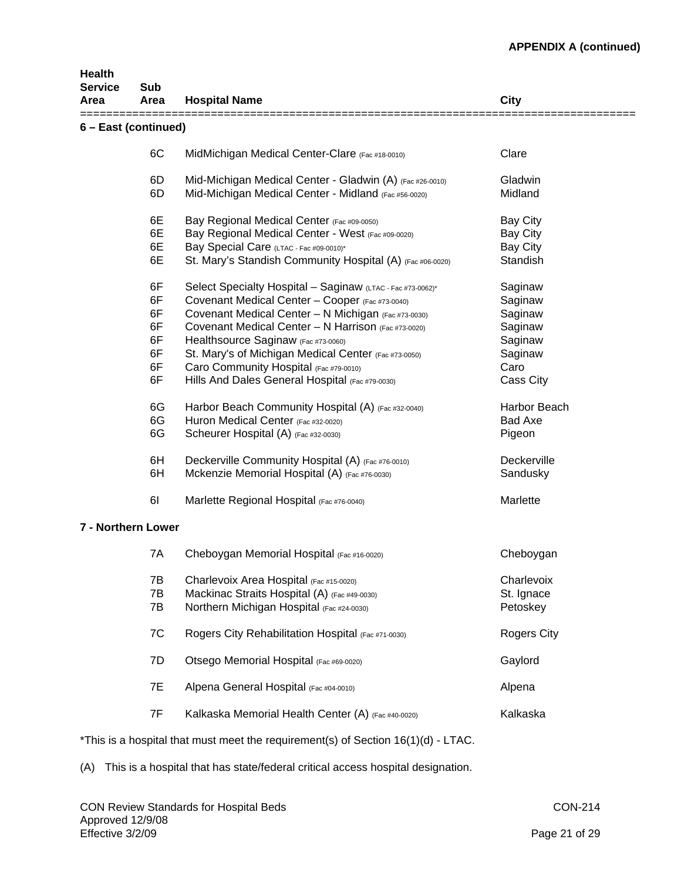| Health<br><b>Service</b><br>Area | Sub<br>Area | <b>Hospital Name</b>                                                              | <b>City</b>        |
|----------------------------------|-------------|-----------------------------------------------------------------------------------|--------------------|
| 6 - East (continued)             |             |                                                                                   |                    |
|                                  | 6C          | MidMichigan Medical Center-Clare (Fac #18-0010)                                   | Clare              |
|                                  | 6D          | Mid-Michigan Medical Center - Gladwin (A) (Fac #26-0010)                          | Gladwin            |
|                                  | 6D          | Mid-Michigan Medical Center - Midland (Fac #56-0020)                              | Midland            |
|                                  | 6E          | Bay Regional Medical Center (Fac #09-0050)                                        | <b>Bay City</b>    |
|                                  | 6E          | Bay Regional Medical Center - West (Fac #09-0020)                                 | <b>Bay City</b>    |
|                                  | 6E          | Bay Special Care (LTAC - Fac #09-0010)*                                           | <b>Bay City</b>    |
|                                  | 6E          | St. Mary's Standish Community Hospital (A) (Fac #06-0020)                         | Standish           |
|                                  | 6F          | Select Specialty Hospital - Saginaw (LTAC - Fac #73-0062)*                        | Saginaw            |
|                                  | 6F          | Covenant Medical Center - Cooper (Fac #73-0040)                                   | Saginaw            |
|                                  | 6F          | Covenant Medical Center - N Michigan (Fac #73-0030)                               | Saginaw            |
|                                  | 6F          | Covenant Medical Center - N Harrison (Fac #73-0020)                               | Saginaw            |
|                                  | 6F          | Healthsource Saginaw (Fac #73-0060)                                               | Saginaw            |
|                                  |             |                                                                                   |                    |
|                                  | 6F          | St. Mary's of Michigan Medical Center (Fac #73-0050)                              | Saginaw            |
|                                  | 6F          | Caro Community Hospital (Fac #79-0010)                                            | Caro               |
|                                  | 6F          | Hills And Dales General Hospital (Fac #79-0030)                                   | Cass City          |
|                                  | 6G          | Harbor Beach Community Hospital (A) (Fac #32-0040)                                | Harbor Beach       |
|                                  | 6G          | Huron Medical Center (Fac #32-0020)                                               | <b>Bad Axe</b>     |
|                                  | 6G          | Scheurer Hospital (A) (Fac #32-0030)                                              | Pigeon             |
|                                  | 6H          | Deckerville Community Hospital (A) (Fac #76-0010)                                 | Deckerville        |
|                                  | 6H          | Mckenzie Memorial Hospital (A) (Fac #76-0030)                                     | Sandusky           |
|                                  | 61          | Marlette Regional Hospital (Fac #76-0040)                                         | Marlette           |
| 7 - Northern Lower               |             |                                                                                   |                    |
|                                  | 7A          | Cheboygan Memorial Hospital (Fac #16-0020)                                        | Cheboygan          |
|                                  | 7B          | Charlevoix Area Hospital (Fac #15-0020)                                           | Charlevoix         |
|                                  | 7B          | Mackinac Straits Hospital (A) (Fac #49-0030)                                      | St. Ignace         |
|                                  | 7B          |                                                                                   |                    |
|                                  |             | Northern Michigan Hospital (Fac #24-0030)                                         | Petoskey           |
|                                  | 7C          | Rogers City Rehabilitation Hospital (Fac #71-0030)                                | <b>Rogers City</b> |
|                                  | 7D          | Otsego Memorial Hospital (Fac #69-0020)                                           | Gaylord            |
|                                  | 7E          | Alpena General Hospital (Fac #04-0010)                                            | Alpena             |
|                                  | 7F          | Kalkaska Memorial Health Center (A) (Fac #40-0020)                                | Kalkaska           |
|                                  |             | *This is a hospital that must meet the requirement(s) of Section 16(1)(d) - LTAC. |                    |

(A) This is a hospital that has state/federal critical access hospital designation.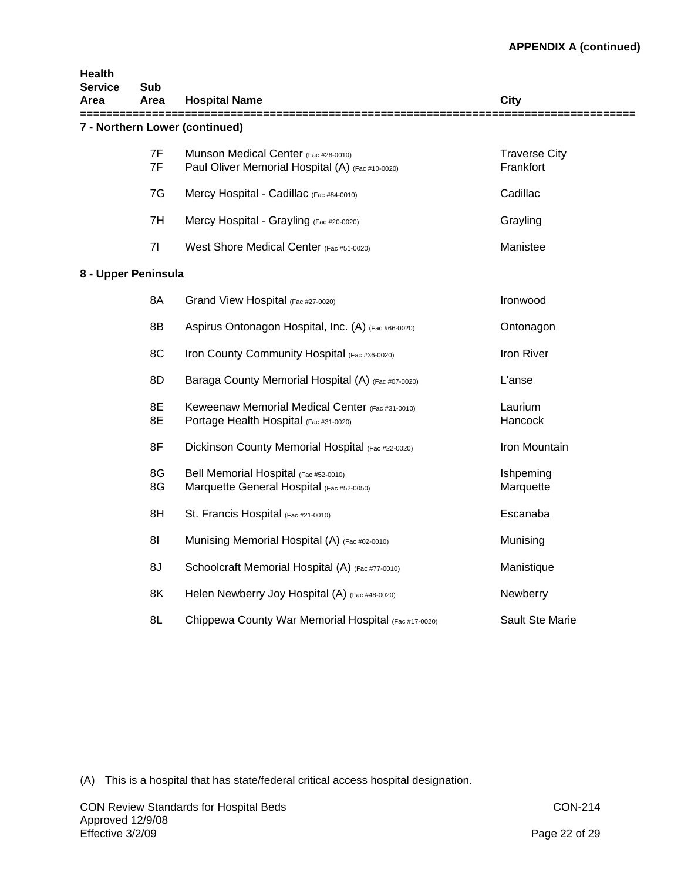| Health<br><b>Service</b> | Sub            |                                                                                           |                                   |
|--------------------------|----------------|-------------------------------------------------------------------------------------------|-----------------------------------|
| Area                     | Area           | <b>Hospital Name</b>                                                                      | City                              |
|                          |                | 7 - Northern Lower (continued)                                                            |                                   |
|                          | 7F<br>7F       | Munson Medical Center (Fac #28-0010)<br>Paul Oliver Memorial Hospital (A) (Fac #10-0020)  | <b>Traverse City</b><br>Frankfort |
|                          | 7G             | Mercy Hospital - Cadillac (Fac #84-0010)                                                  | Cadillac                          |
|                          | 7H             | Mercy Hospital - Grayling (Fac #20-0020)                                                  | Grayling                          |
|                          | 71             | West Shore Medical Center (Fac #51-0020)                                                  | Manistee                          |
| 8 - Upper Peninsula      |                |                                                                                           |                                   |
|                          | 8A             | Grand View Hospital (Fac #27-0020)                                                        | Ironwood                          |
|                          | 8B             | Aspirus Ontonagon Hospital, Inc. (A) (Fac #66-0020)                                       | Ontonagon                         |
|                          | 8C             | Iron County Community Hospital (Fac #36-0020)                                             | Iron River                        |
|                          | 8D             | Baraga County Memorial Hospital (A) (Fac #07-0020)                                        | L'anse                            |
|                          | 8E<br>8E       | Keweenaw Memorial Medical Center (Fac #31-0010)<br>Portage Health Hospital (Fac #31-0020) | Laurium<br>Hancock                |
|                          | 8F             | Dickinson County Memorial Hospital (Fac #22-0020)                                         | Iron Mountain                     |
|                          | 8G<br>8G       | Bell Memorial Hospital (Fac #52-0010)<br>Marquette General Hospital (Fac #52-0050)        | Ishpeming<br>Marquette            |
|                          | 8H             | St. Francis Hospital (Fac #21-0010)                                                       | Escanaba                          |
|                          | 8 <sub>l</sub> | Munising Memorial Hospital (A) (Fac #02-0010)                                             | Munising                          |
|                          | 8J             | Schoolcraft Memorial Hospital (A) (Fac #77-0010)                                          | Manistique                        |
|                          | 8K             | Helen Newberry Joy Hospital (A) (Fac #48-0020)                                            | Newberry                          |
|                          | 8L             | Chippewa County War Memorial Hospital (Fac #17-0020)                                      | <b>Sault Ste Marie</b>            |

(A) This is a hospital that has state/federal critical access hospital designation.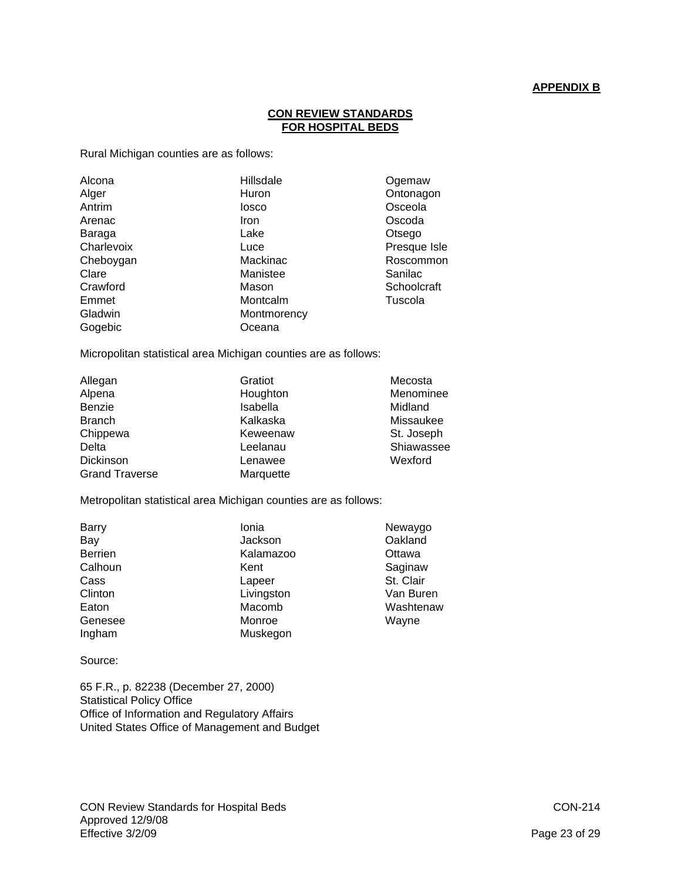## **APPENDIX B**

## **CON REVIEW STANDARDS FOR HOSPITAL BEDS**

Rural Michigan counties are as follows:

| Alcona<br>Alger<br>Antrim<br>Arenac<br>Baraga<br>Charlevoix<br>Cheboygan<br>Clare<br>Crawford<br>Emmet<br>Gladwin | Hillsdale<br>Huron<br>losco<br>Iron<br>Lake<br>Luce<br>Mackinac<br>Manistee<br>Mason<br>Montcalm<br>Montmorency | Ogemaw<br>Ontonagon<br>Osceola<br>Oscoda<br>Otsego<br>Presque Isle<br>Roscommon<br>Sanilac<br>Schoolcraft<br>Tuscola |
|-------------------------------------------------------------------------------------------------------------------|-----------------------------------------------------------------------------------------------------------------|----------------------------------------------------------------------------------------------------------------------|
| Gogebic                                                                                                           | Oceana                                                                                                          |                                                                                                                      |

Micropolitan statistical area Michigan counties are as follows:

| Allegan               | Gratiot   | Mecosta    |
|-----------------------|-----------|------------|
| Alpena                | Houghton  | Menominee  |
| Benzie                | Isabella  | Midland    |
| <b>Branch</b>         | Kalkaska  | Missaukee  |
| Chippewa              | Keweenaw  | St. Joseph |
| Delta                 | Leelanau  | Shiawassee |
| Dickinson             | Lenawee   | Wexford    |
| <b>Grand Traverse</b> | Marquette |            |

Metropolitan statistical area Michigan counties are as follows:

| <b>Barry</b>   | Ionia      | Newaygo   |
|----------------|------------|-----------|
| Bay            | Jackson    | Oakland   |
| <b>Berrien</b> | Kalamazoo  | Ottawa    |
| Calhoun        | Kent       | Saginaw   |
| Cass           | Lapeer     | St. Clair |
| Clinton        | Livingston | Van Buren |
| Eaton          | Macomb     | Washtenaw |
| Genesee        | Monroe     | Wayne     |
| Ingham         | Muskegon   |           |

Source:

65 F.R., p. 82238 (December 27, 2000) Statistical Policy Office Office of Information and Regulatory Affairs United States Office of Management and Budget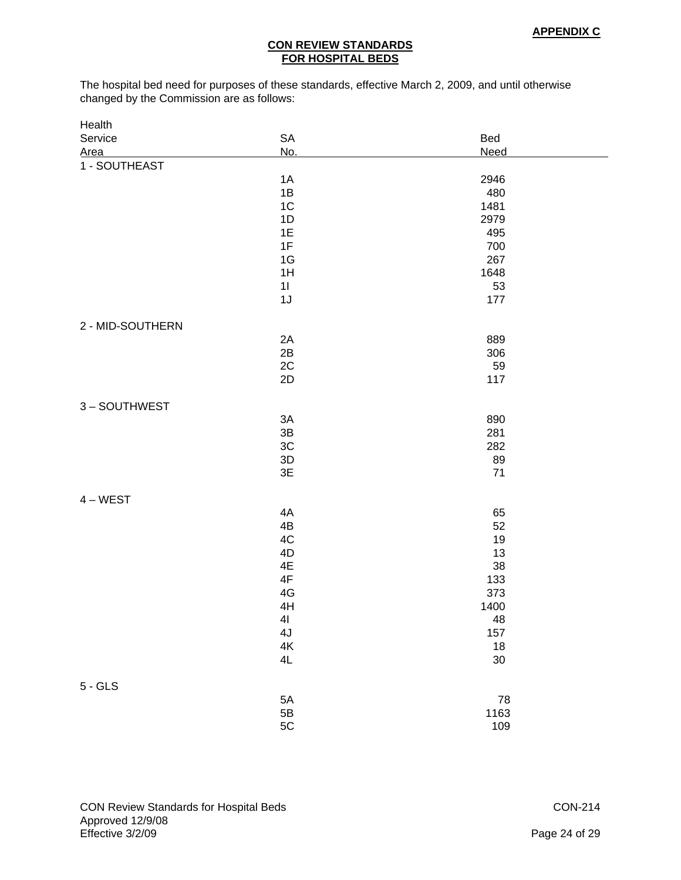# **CON REVIEW STANDARDS FOR HOSPITAL BEDS**

The hospital bed need for purposes of these standards, effective March 2, 2009, and until otherwise changed by the Commission are as follows:

| Health           |               |             |
|------------------|---------------|-------------|
| Service          | SA            | Bed         |
| Area             | No.           | <b>Need</b> |
| 1 - SOUTHEAST    |               |             |
|                  | 1A            | 2946        |
|                  | 1B            | 480         |
|                  | 1C            | 1481        |
|                  | 1D            | 2979        |
|                  | 1E            | 495         |
|                  | 1F            | 700         |
|                  | 1G            | 267         |
|                  | 1H            | 1648        |
|                  | 11            | 53          |
|                  | 1J            | 177         |
|                  |               |             |
| 2 - MID-SOUTHERN |               |             |
|                  | 2A            | 889         |
|                  | 2B            | 306         |
|                  | 2C            | 59          |
|                  | 2D            | 117         |
|                  |               |             |
| 3-SOUTHWEST      |               |             |
|                  | 3A            | 890         |
|                  | $3\mathsf{B}$ | 281         |
|                  | $3\mathrm{C}$ | 282         |
|                  | 3D            | 89          |
|                  | 3E            | 71          |
|                  |               |             |
| $4 - WEST$       |               |             |
|                  | 4A            | 65          |
|                  | 4B            | 52          |
|                  | 4C            | 19          |
|                  | 4D            | 13          |
|                  | 4E            | 38          |
|                  | $4\mathsf{F}$ | 133         |
|                  | $4\mathsf{G}$ | 373         |
|                  | 4H            | 1400        |
|                  | 41            | 48          |
|                  | $4J$          | $157\,$     |
|                  | $4\mathsf{K}$ | $18$        |
|                  | 4L            | $30\,$      |
|                  |               |             |
| $5 - GLS$        |               |             |
|                  | $5A$          | ${\bf 78}$  |
|                  | $5\mathsf{B}$ | 1163        |
|                  | 5C            | 109         |
|                  |               |             |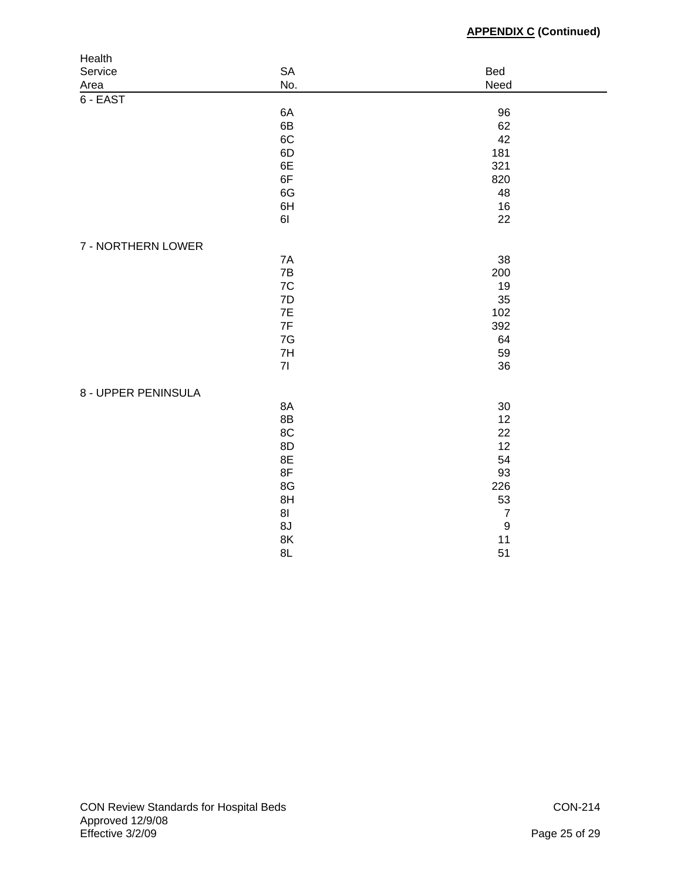| SA<br>Bed<br>Service<br>No.<br>Need<br>Area<br>$6 - EAST$ |  |
|-----------------------------------------------------------|--|
|                                                           |  |
|                                                           |  |
|                                                           |  |
| 6A<br>96                                                  |  |
| 6B<br>62                                                  |  |
| 6C<br>42                                                  |  |
| 6D<br>181                                                 |  |
| 6E<br>321                                                 |  |
| 6F<br>820                                                 |  |
| 6G<br>48                                                  |  |
| 6H<br>16                                                  |  |
| 61<br>22                                                  |  |
| 7 - NORTHERN LOWER                                        |  |
| 7A<br>38                                                  |  |
| 7B<br>200                                                 |  |
| 7C<br>19                                                  |  |
| 7D<br>35                                                  |  |
| 7E<br>102                                                 |  |
| 7F<br>392                                                 |  |
| 7G<br>64                                                  |  |
| 7H<br>59                                                  |  |
| 71<br>36                                                  |  |
|                                                           |  |
| 8 - UPPER PENINSULA                                       |  |
| 8A<br>30                                                  |  |
| 8B<br>12                                                  |  |
| 8C<br>22                                                  |  |
| 8D<br>12                                                  |  |
| 8E<br>54<br>8F                                            |  |
| 93                                                        |  |
| 8G<br>226                                                 |  |
| 8H<br>53<br>81<br>$\boldsymbol{7}$                        |  |
| $\boldsymbol{9}$<br>8J                                    |  |
| 8K<br>11                                                  |  |
| 8L<br>51                                                  |  |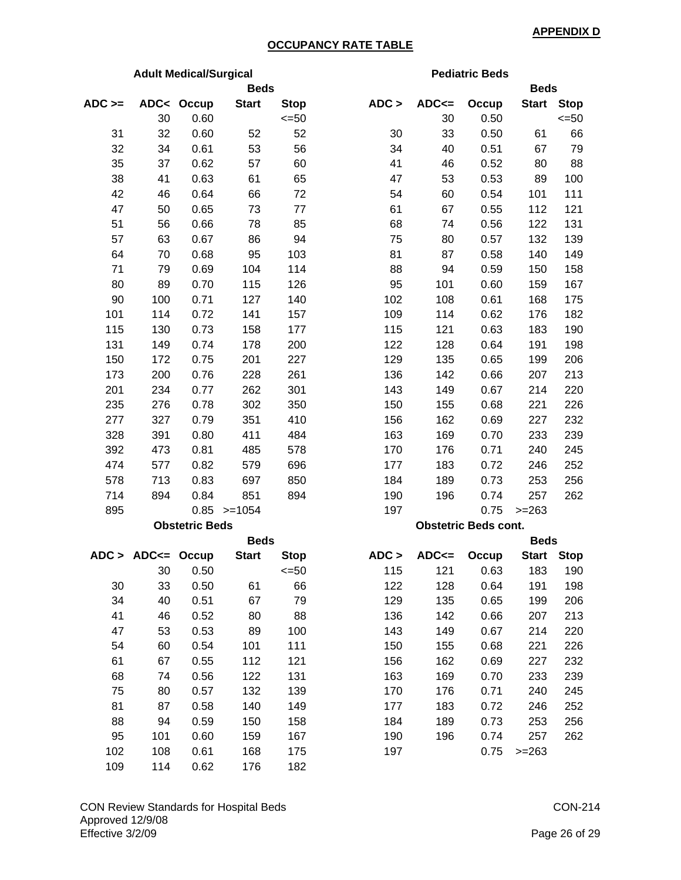# **OCCUPANCY RATE TABLE**

| <b>Adult Medical/Surgical</b> |                              |                       |               |             | <b>Pediatric Beds</b> |         |                             |              |             |
|-------------------------------|------------------------------|-----------------------|---------------|-------------|-----------------------|---------|-----------------------------|--------------|-------------|
|                               |                              |                       | <b>Beds</b>   |             |                       |         |                             | <b>Beds</b>  |             |
| $ADC \geq$                    |                              | ADC< Occup            | <b>Start</b>  | <b>Stop</b> | ADC >                 | $ADC =$ | Occup                       | <b>Start</b> | <b>Stop</b> |
|                               | 30                           | 0.60                  |               | $= 50$      |                       | 30      | 0.50                        |              | $\leq 50$   |
| 31                            | 32                           | 0.60                  | 52            | 52          | 30                    | 33      | 0.50                        | 61           | 66          |
| 32                            | 34                           | 0.61                  | 53            | 56          | 34                    | 40      | 0.51                        | 67           | 79          |
| 35                            | 37                           | 0.62                  | 57            | 60          | 41                    | 46      | 0.52                        | 80           | 88          |
| 38                            | 41                           | 0.63                  | 61            | 65          | 47                    | 53      | 0.53                        | 89           | 100         |
| 42                            | 46                           | 0.64                  | 66            | 72          | 54                    | 60      | 0.54                        | 101          | 111         |
| 47                            | 50                           | 0.65                  | 73            | 77          | 61                    | 67      | 0.55                        | 112          | 121         |
| 51                            | 56                           | 0.66                  | 78            | 85          | 68                    | 74      | 0.56                        | 122          | 131         |
| 57                            | 63                           | 0.67                  | 86            | 94          | 75                    | 80      | 0.57                        | 132          | 139         |
| 64                            | 70                           | 0.68                  | 95            | 103         | 81                    | 87      | 0.58                        | 140          | 149         |
| 71                            | 79                           | 0.69                  | 104           | 114         | 88                    | 94      | 0.59                        | 150          | 158         |
| 80                            | 89                           | 0.70                  | 115           | 126         | 95                    | 101     | 0.60                        | 159          | 167         |
| 90                            | 100                          | 0.71                  | 127           | 140         | 102                   | 108     | 0.61                        | 168          | 175         |
| 101                           | 114                          | 0.72                  | 141           | 157         | 109                   | 114     | 0.62                        | 176          | 182         |
| 115                           | 130                          | 0.73                  | 158           | 177         | 115                   | 121     | 0.63                        | 183          | 190         |
| 131                           | 149                          | 0.74                  | 178           | 200         | 122                   | 128     | 0.64                        | 191          | 198         |
| 150                           | 172                          | 0.75                  | 201           | 227         | 129                   | 135     | 0.65                        | 199          | 206         |
| 173                           | 200                          | 0.76                  | 228           | 261         | 136                   | 142     | 0.66                        | 207          | 213         |
| 201                           | 234                          | 0.77                  | 262           | 301         | 143                   | 149     | 0.67                        | 214          | 220         |
| 235                           | 276                          | 0.78                  | 302           | 350         | 150                   | 155     | 0.68                        | 221          | 226         |
| 277                           | 327                          | 0.79                  | 351           | 410         | 156                   | 162     | 0.69                        | 227          | 232         |
| 328                           | 391                          | 0.80                  | 411           | 484         | 163                   | 169     | 0.70                        | 233          | 239         |
| 392                           | 473                          | 0.81                  | 485           | 578         | 170                   | 176     | 0.71                        | 240          | 245         |
| 474                           | 577                          | 0.82                  | 579           | 696         | 177                   | 183     | 0.72                        | 246          | 252         |
| 578                           | 713                          | 0.83                  | 697           | 850         | 184                   | 189     | 0.73                        | 253          | 256         |
| 714                           | 894                          | 0.84                  | 851           | 894         | 190                   | 196     | 0.74                        | 257          | 262         |
| 895                           |                              |                       | $0.85$ >=1054 |             | 197                   |         | 0.75                        | $>=263$      |             |
|                               |                              | <b>Obstetric Beds</b> |               |             |                       |         | <b>Obstetric Beds cont.</b> |              |             |
|                               |                              |                       | <b>Beds</b>   |             |                       |         |                             | <b>Beds</b>  |             |
|                               | $ADC > ADC \leftarrow Occup$ |                       | <b>Start</b>  | <b>Stop</b> | ADC >                 | $ADC =$ | Occup                       |              | Start Stop  |
|                               | 30                           | 0.50                  |               | <=50        | 115                   | 121     | 0.63                        | 183          | 190         |
| 30                            | 33                           | 0.50                  | 61            | 66          | 122                   | 128     | 0.64                        | 191          | 198         |
| 34                            | 40                           | 0.51                  | 67            | 79          | 129                   | 135     | 0.65                        | 199          | 206         |
| 41                            | 46                           | 0.52                  | 80            | 88          | 136                   | 142     | 0.66                        | 207          | 213         |
| 47                            | 53                           | 0.53                  | 89            | 100         | 143                   | 149     | 0.67                        | 214          | 220         |
| 54                            | 60                           | 0.54                  | 101           | 111         | 150                   | 155     | 0.68                        | 221          | 226         |
| 61                            | 67                           | 0.55                  | 112           | 121         | 156                   | 162     | 0.69                        | 227          | 232         |
| 68                            | 74                           | 0.56                  | 122           | 131         | 163                   | 169     | 0.70                        | 233          | 239         |
| 75                            | 80                           | 0.57                  | 132           | 139         | 170                   | 176     | 0.71                        | 240          | 245         |
| 81                            | 87                           | 0.58                  | 140           | 149         | 177                   | 183     | 0.72                        | 246          | 252         |
| 88                            | 94                           | 0.59                  | 150           | 158         | 184                   | 189     | 0.73                        | 253          | 256         |
| 95                            | 101                          | 0.60                  | 159           | 167         | 190                   | 196     | 0.74                        | 257          | 262         |
| 102                           | 108                          | 0.61                  | 168           | 175         | 197                   |         | 0.75                        | $>=263$      |             |
| 109                           | 114                          | 0.62                  | 176           | 182         |                       |         |                             |              |             |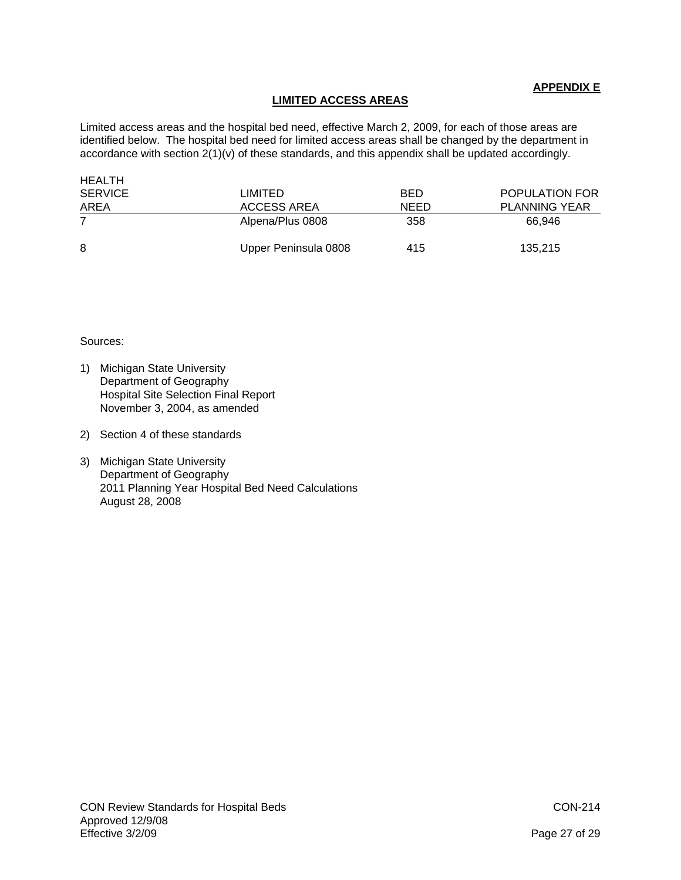# **APPENDIX E**

# **LIMITED ACCESS AREAS**

Limited access areas and the hospital bed need, effective March 2, 2009, for each of those areas are identified below. The hospital bed need for limited access areas shall be changed by the department in accordance with section 2(1)(v) of these standards, and this appendix shall be updated accordingly.

| HEALTH         |                      |             |                      |
|----------------|----------------------|-------------|----------------------|
| <b>SERVICE</b> | LIMITED              | <b>BED</b>  | POPULATION FOR       |
| AREA           | ACCESS AREA          | <b>NEED</b> | <b>PLANNING YEAR</b> |
|                | Alpena/Plus 0808     | 358         | 66.946               |
| 8              | Upper Peninsula 0808 | 415         | 135,215              |

Sources:

- 1) Michigan State University Department of Geography Hospital Site Selection Final Report November 3, 2004, as amended
- 2) Section 4 of these standards
- 3) Michigan State University Department of Geography 2011 Planning Year Hospital Bed Need Calculations August 28, 2008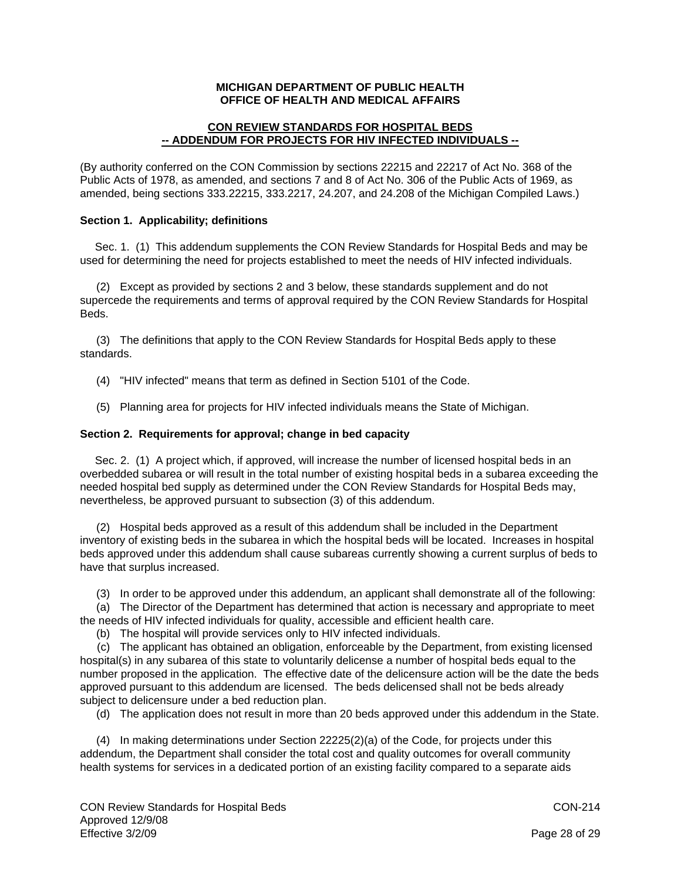# **MICHIGAN DEPARTMENT OF PUBLIC HEALTH OFFICE OF HEALTH AND MEDICAL AFFAIRS**

# **CON REVIEW STANDARDS FOR HOSPITAL BEDS -- ADDENDUM FOR PROJECTS FOR HIV INFECTED INDIVIDUALS --**

(By authority conferred on the CON Commission by sections 22215 and 22217 of Act No. 368 of the Public Acts of 1978, as amended, and sections 7 and 8 of Act No. 306 of the Public Acts of 1969, as amended, being sections 333.22215, 333.2217, 24.207, and 24.208 of the Michigan Compiled Laws.)

# **Section 1. Applicability; definitions**

 Sec. 1. (1) This addendum supplements the CON Review Standards for Hospital Beds and may be used for determining the need for projects established to meet the needs of HIV infected individuals.

 (2) Except as provided by sections 2 and 3 below, these standards supplement and do not supercede the requirements and terms of approval required by the CON Review Standards for Hospital Beds.

 (3) The definitions that apply to the CON Review Standards for Hospital Beds apply to these standards.

- (4) "HIV infected" means that term as defined in Section 5101 of the Code.
- (5) Planning area for projects for HIV infected individuals means the State of Michigan.

## **Section 2. Requirements for approval; change in bed capacity**

 Sec. 2. (1) A project which, if approved, will increase the number of licensed hospital beds in an overbedded subarea or will result in the total number of existing hospital beds in a subarea exceeding the needed hospital bed supply as determined under the CON Review Standards for Hospital Beds may, nevertheless, be approved pursuant to subsection (3) of this addendum.

 (2) Hospital beds approved as a result of this addendum shall be included in the Department inventory of existing beds in the subarea in which the hospital beds will be located. Increases in hospital beds approved under this addendum shall cause subareas currently showing a current surplus of beds to have that surplus increased.

(3) In order to be approved under this addendum, an applicant shall demonstrate all of the following:

 (a) The Director of the Department has determined that action is necessary and appropriate to meet the needs of HIV infected individuals for quality, accessible and efficient health care.

(b) The hospital will provide services only to HIV infected individuals.

 (c) The applicant has obtained an obligation, enforceable by the Department, from existing licensed hospital(s) in any subarea of this state to voluntarily delicense a number of hospital beds equal to the number proposed in the application. The effective date of the delicensure action will be the date the beds approved pursuant to this addendum are licensed. The beds delicensed shall not be beds already subject to delicensure under a bed reduction plan.

(d) The application does not result in more than 20 beds approved under this addendum in the State.

 (4) In making determinations under Section 22225(2)(a) of the Code, for projects under this addendum, the Department shall consider the total cost and quality outcomes for overall community health systems for services in a dedicated portion of an existing facility compared to a separate aids